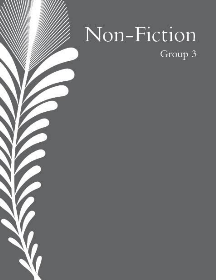# Non-Fiction Group 3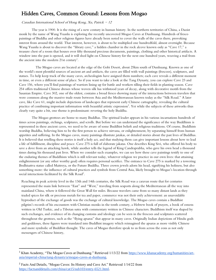# Hidden Caves, Common Ground: Lessons from Mogao

### Canadian International School of Hong Kong, Xu, Patrick  $-12$

The year is 1900. It is the rising of a new century in human history. In the northern territories of China, a Daoist monk by the name of Wang Yuanlu is exploring the recently uncovered Mogao Caves at Dunhuang. Hundreds of fresco paintings of Buddha and other religious figures have already been noted to cover the walls of the caves there, provoking interest from around the world. That interest, however, is about to be multiplied one hundredfold, almost overnight. Because Wang Yuanlu is about to discover the "library cave," a hidden chamber in the rock alcove known only as "Cave 17," a treasure chest of a room that houses over fifty thousand precious documents, paintings, clothing and other historical artifacts. A window into the past is opened, and it will shed light on Chinese history for the next one hundred years, weaving a trail from the ancient into the modern 21st century<sup>1</sup>.

 The Mogao caves are located at the edge of the Gobi Desert, about 25km south of Dunhuang. Known as one of the world's most plentiful sources of ancient art and artifacts, the caves are filled with wall paintings (frescoes), sculptures, and statues. To help keep track of the many caves, archeologists have assigned them numbers; each cave reveals a different moment in time, or even a different sense of place. So if you want to take a look at the Tang Dynasty, you can explore Cave 23 and Cave 156, where you'll find paintings of warriors lining up for battle and workers tilling their fields in planting season. Cave 254 offers traditional Chinese dresses whose woven silk has withstood years of decay, along with decorative motifs from the Sasanian Empire. Cave 302, one of the oldest, contains a broad fresco showing many of the interactions between travelers that were common along the massive trade route between Asia and the Mediterranean known today as the "Silk Road." A later cave, like Cave 61, might include depictions of landscapes that represent early Chinese cartography, revealing the cultural practice of combining important information with beautiful artistic  $\exp$ ression $^2$ . Yet while the subjects of these artworks thus clearly vary quite a bit, one theme is predominant: revering the holy Buddha.

The Mogao grottoes are home to many Buddhas. The spiritual leader appears in his various incarnations hundreds of times across paintings, etchings, sculptures, and scrolls. But before we can understand the significance of the way Buddhism is represented in these ancient caves, we need to be aware of some Buddhist beliefs and religious traditions. Of course, Buddhists worship Buddha, believing him to be the first person to achieve nirvana, or enlightenment, by separating himself from human appetites and suffering. In the Mogao caves, many paintings illustrate jatakas, or detailed stories about the past lives of Buddhas. It is believed that retelling these stories is itself a holy act, and that studying them can give important lessons about how to lead a life of fulfillment, discipline and peace. Cave 275 is full of elaborate jakatas. One describes King Sivi, who offered his body to save a dove from an attacking hawk, while another tells the legend of King Candraprabha, who gave his own head a thousand times during his thousand past lives. When we consider such examples, we can see how these cave paintings testify to one of the enduring themes of Buddhism which is still relevant today, whatever religion we practice in our own lives: that attaining enlightenment (or any other worthy goal) often requires personal sacrifice. The entrance to Cave 275 is marked by a towering Bodhisattva statue called Maitreya, or the Future Buddha. Three crown jewels adorn his head, signifying his holiness, but also something more: the influence of cultural practices and symbols from Central Asia, likely brought to Mogao's location through social interactions facilitated by the Silk Road<sup>2</sup>.

Reaching its peak activity level in the 13th and 14th centuries, the Silk Road was a caravan route that for centuries represented the main link between "East" and "West," traveling from seaports along the Mediterranean all the way into mainland China, where it followed the Great Wall for miles. Because travelers came from so many distant lands as they traded spices for silk or precious metals for tea and paper, commerce was not their only achievement: an unavoidable byproduct of the exchange of goods was the exchange of cultural knowledge. The Mogao caves contain a Buddhist pilgrim's records of his encounters with Christian monks in the tenth century, a Hebrew book of prayers, a book of omens written in Old Turkic, and a Tibetan sutra with commentary written in Chinese characters. Buddhism itself was shaped by such exchanges, and evidence of its changing customs and ideology can be seen in the frescoes and sculptures scattered throughout the grottoes, such as the "flying apsaras" that appear in many caves. Originally Indian depictions of Hindu gods and goddesses, these figures were translated into Buddhist imagery which reimagined the apsaras as more visibly Chinese and more symbolic of Buddhist thought. The caves of Mogao therefore speak to us from across the eons as not only messengers of Chinese history,

<sup>&</sup>lt;sup>1</sup> Khan Academy, "The Mogao Caves at Dunhuang." Retrieved 1/13/22 from [https://www.khanacademy.org/humanities/art](https://www.khanacademy.org/humanities/art-asia/imperial-china/tang-dynasty/a/mogao-caves-at-dunhuang)[asia/imperial-china/tang-dynasty/a/mogao-caves-at-dunhuang.](https://www.khanacademy.org/humanities/art-asia/imperial-china/tang-dynasty/a/mogao-caves-at-dunhuang)

<sup>2</sup> Facts And Details, "Mogao Caves: Its History and Cave Art." Retrieved 1/14/22 from [https://factsanddetails.com/china/cat15/sub103/entry-6521.html.](https://factsanddetails.com/china/cat15/sub103/entry-6521.html#chapter-2)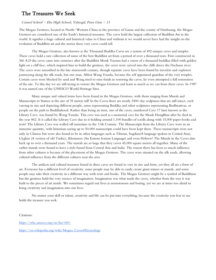### The Treasures We Seek

#### Carmel School - Elsa High School, Yahyagil, Peter Gian - 13

The Mogao Grottoes, located in North-Western China in the province of Gansu and the county of Dunhuang, the Mogao Grottoes are considered one of the Earth's historical treasures. The caves hold the largest collection of Buddhist Art in the world. It signifies a huge cultural and historical value to China and without it we would never have had the insight on the evolution of Buddhist art and the stories these very caves could tell.

The Mogao Grottoes, also known as the Thousand Buddha Caves are a system of 492 unique caves and temples. These caves hold a rare collection of some of the best Buddhist art from a period of over a thousand tears. First constructed in 366 A.D the caves came into existence after the Buddhist Monk Yuezun had a vision of a thousand buddhas filled with golden light on a cliff face, which inspired him to build the grottoes, the caves were carved into the cliffs above the Dachuan river. The caves were unearthed in the late nineteenth century, though separate caves have been found by travelers and explorers journeying along the silk roads, but one man, Abbot Wang Yuanlu, became the self appointed guardian of the very temples. Certain caves were blocked by sand and Wang tried to raise funds in restoring the caves, he even attempted a full restoration of the site. To this day we are still trying to restore the Mogao Grottoes and learn as much as we can from these caves. In 1987 it was named one of the UNESCO World Heritage Sites.

Many unique and valued items have been found in the Mogao Grottoes, with them ranging from Murals and Manuscripts to Statues at the size of 35 meters tall! In the Caves there are nearly 2400 clay sculptures that are still intact, each varying in size and depicting different people, some representing Buddha and other sculptures representing Bodhisattvas, or people on the path to Buddhahood. Rather than being an item, one of the caves, numbered Cave 17 later known as the Library Cave, was found by Wang Yuanlu. This cave was used as a memorial cave for the Monk HongBian after he died in the year 862. It is called the Library Cave due to it holding around 1,100 bundles of scrolls along with 15,000 paper books and texts! The Library Cave was walled off sometime in the 11th Century. The Manuscripts from the Library Cave were in an immense quantity, with historians saying up to 50,000 manuscripts could have been kept there. These manuscripts were not only in Chinese but were also found to be in other languages such as Tibetan, Sogdian(A language spoken in Central Asia), Uyghur (A version of old Turkic), Khotanese (An Eastern Iranian Language) and even Hebrew! The Murals in the Caves date back up to over a thousand years. The murals are so large that they cover 45,000 square meters all together. Many of the earlier murals were found to have a style found from Central Asia and India. The reason there has been so much influence from other cultures is because of the placement of the Mogao Grottoes. The caves were situated on the silk roads, allowing cultural influence from the different cultures near the area.

The artifacts and cultural treasures found in these caves are found to vary in size and form, yet they all are a form of art. Everyone has a different level of creativity, some people may be able to easily create giant statues or murals, and some people may take their creativity in a different way with texts and books. The Mogao Grottoes might be a symbol of Buddhism but the grottoes hold the very essence of imagination. Imagination was what made the caves, whether from the way it was built to the pieces of art inside. We sometimes regard our lives as monotonous and boring, yet we are at times too afraid to bring creativity and imagination into our lives.

No matter your skill or talent, creativity and life can be put into everything, because the creativity you fear to use holds the treasure you seek.

Citations:

<https://whc.unesco.org/en/list/440/> [https://en.wikipedia.org/wiki/Mogao\\_Caves#Etymology](https://en.wikipedia.org/wiki/Mogao_Caves#Etymology)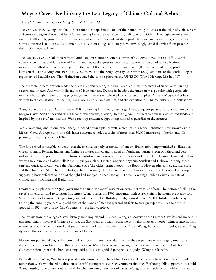# Mogao Caves: Rethinking the Lost Legacy of China's Cultural Relics

### French International School, Fung, Sum Yi Emily  $-13$

The year was 1907. Wang Yuanlu, a Daoist monk, stooped inside one of the remote Mogao Caves at the edge of Gobi Desert, and struck a bargain that would leave China reeling for more than a century. His sale to British archaeologist Aurel Stein of some 10,000 scrolls, paintings and manuscripts, which the caves had faithfully protected since medieval times, sent pieces of China's historical soul into exile in distant lands. Yet, in doing so, he may have unwittingly saved the relics from possible destruction decades later.

The Mogao Caves, 25 kilometers from Dunhuang, in Gansu province, consists of 492 caves carved into a cliff. Over the course of centuries, and far removed from human eyes, the grottoes became sanctuaries for vast and rare collections of medieval Buddhist art. Commanding more than 45,000 square meters of murals and 2,000 painted sculptures, produced between the Three Kingdoms Period (AD 220-280) and the Song Dynasty (AD 960-1279), amounts to the world's largest repository of Buddhist art. That distinction earned the caves a place on the UNESCO World Heritage List in 1987.

Their remote, desert location made the caves a landmark along the Silk Road, an ancient network of trade routes linking eastern and western Asia with India and the Mediterranean. During its heyday, the junction was popular with peripatetic monks who sought shelter during pilgrimages and travelers who looked for water and supplies. Ancient Mogao relics bear witness to the civilizations of the Sui, Tang, Song and Yuan dynasties, and the evolution of Chinese culture and philosophy.

Wang Yuanlu became a Daoist priest in 1900 following his military discharge. His subsequent perambulations led him to the Mogao Caves. Sand dunes and ridges serve as windbreaks, allowing trees to grow and rivers to flow in a desiccated landscape. Inspired by the caves' mystical air, Wang took up residence, appointing himself as guardian of the grottoes.

While sweeping sand in one cave, Wang knocked down a plaster wall, which sealed a hidden chamber, later known as the Library Cave. A deeper dive into this inner sanctum revealed a cache of more than 50,000 manuscripts, books, and silk paintings, all dating prior to 1004.

The find served as tangible evidence that the site was an early crossroads of once-vibrant, now long-vanished civilizations. Greek, Roman, Persian, Indian, and Chinese cultures mixed and melded in Dunhuang during a span of a thousand years, making it the focal point of an early form of globalism, and a marketplace for goods and ideas. The documents included those written in Chinese and other Silk Road languages such as Tibetan, Sogdian, Uyghur, Sanskrit and Hebrew. Among those carrying outsized weight were the Diamond Sutra (the oldest printed book), the Book of Heaven (the earliest musical score) and the Dunhuang Star Chart (the first graphical star map). The Library Cave also housed works on religion and philosophy, suggesting how different schools of thought had merged to shape today's "Three Teachings," which carry elements of Confucianism, Daoism and Buddhism.

Daoist Wang's pleas to the Qing government to fund the caves' restoration were met with aloofness. The notion of selling the caves' contents to fund restoration first struck Wang during his 1907 encounter with Aurel Stein. The monk eventually sold Stein 29 crates of manuscripts, paintings and artworks for 130 British pounds, equivalent to 16,000 British pounds today. During the ensuing years, Wang sold tens of thousands of manuscripts and artifacts to foreign explorers. By the time he stopped in 1924, the Library Cave's contents were half-depleted.

The lessons from the Mogao Caves' history are complex and nuanced. Wang's discovery of the Library Cave has enhanced our understanding of medieval Chinese culture, the Silk Road and many other fields. It also offers us a deeper glimpse into human nature, especially when personal and social interests collide. The behaviors of Daoist Wang, European archaeologists and Qing dynasty officials reflected greed in a myriad of forms.

Nationalists painted Wang as the scoundrel of modern China. Yet, did they use the proper lens when judging one man's decisions and actions from more than a century ago? Many have accused Wang of being a greedy simpleton, but that characterization ignores the broader complexities. It is a misguided perspective to judge Wang too harshly.

Being illiterate, Wang Yuanlu was probably oblivious to the value of his discovery. His decision to sell the relics to fund restoration work was fueled by three unsuccessful attempts to secure government funding. Without public support, how could Wang possibly have carried out his work for the remaining hundreds of caves? Wang, brushed aside by officialdom, turned to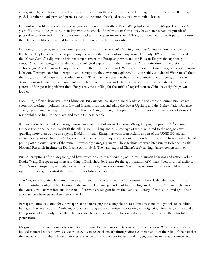selling artifacts, which seems to be his only viable option in the context of his day. He sought not fame, nor to sell his days for gold, but rather to safeguard and protect a national resource that failed to resonate with public leaders.

Committing his life to restoration and religious study until his death in 1931, Wang had stayed at the Mogao Caves for 31 years. His time in the grottoes, in an impoverished stretch of northwestern China, may have better served his pursuit of physical restoration and spiritual nourishment rather than a quest for treasure. If Wang had intended to profit personally from the relics and artifacts, he would have emptied the caves, and fled years earlier.

Did foreign archaeologists and explorers pay a fair price for the artifacts? Certainly not. The Chinese cultural conscience still flinches at the plunder of priceless patrimony, even after the passing of so many years. The early  $20<sup>th</sup>$  century was marked by the "Great Game," a diplomatic brinkmanship between the European powers and the Russian Empire for supremacy in central Asia. Their struggle extended to archaeological exploits to fill their museums. An examination of interactions of British archaeologist Aurel Stein and many others during their negotiations with Wang sheds more light on how greed shapes human behavior. Through coercion, deception and corruption, these western explorers had successfully convinced Wang to sell them the Mogao cultural treasures for a paltry amount. They may have acted in their native countries' best interest, but not in Wang's, nor in China's and certainly not in the best interest of the artifacts. Their actions were emblematic of a broader pattern of European imperialism then. For years, voices calling for the artifacts' repatriation to China have rightly grown louder.

Local Qing officials, however, aren't blameless. Bureaucratic corruption, inept leadership and ethnic discrimination stoked economic weakness, political instability and foreign invasions, including the Boxer Uprising and the Eight-Nation Alliance. The Qing empire, hanging by a thread, and leaving Wang hanging in his push for Mogao restoration, fell short of its moral responsibility to him, to the caves, and to the Chinese people.

If anyone is to be accused of putting personal interest ahead of national culture, Zhang Daqian, the prolific 20<sup>th</sup> century Chinese traditional painter, might fit the bill. In 1941, Zhang and his entourage of artists ventured to the Mogao caves, spending more than two years copying Buddhist murals. Zhang's artwork won acclaim as part of the UNESCO global contemporary art exhibition in 1945, yet a dark side to his technique would cast a pall on his distinction. His method included peeling off the outer layers of the murals, irrevocably damaging many. These techniques were later strictly forbidden by the National Research Institute on Dunhuang Art in 1945. They also exposed Zhang's self-serving, fame-seeking motives.

Public perceptions of the Mogao legend have rested on a misunderstanding of motive in human behavior and action. While Daoist Wang, European explorers and Qing officials shoulder blame for the appropriation of China's finest historical artifacts, Zhang's moral turpitude, wrongly praised as contribution, deserves censure. A misinterpretation of history would not only do injustice to Wang but distort the moral prism for future generations.

The Mogao relics, safely harbored in overseas museums, have survived the  $20<sup>th</sup>$  century upheavals that destroyed much of China's artistic heritage. The Diamond Sutra and the Dunhuang Star Chart found refuge in the British Museum. The Sutra of the Great Virtue of Wisdom and the Book of Heaven are safeguarded in the National Library of France. In hindsight, their sale may have been essential to their survival.

Perhaps the time has come for a new approach to managing these tangible ties to China's past and the symbols of its cultural heritage. The International Dunhuang Project is among those committed to restoring and digitizing Dunhuang culture and art. Doing so would not only make the relics available to experts and researchers worldwide, but also preserve them for future generations.

Mogao art's real value lies in its accessibility, not squirreled away in some tycoon's private collection. Where the artifacts are housed matters less than how easily curious eyes can access them. It's through direct contemplation of the relics of the past that the voices of our forebears break their eternal silence to share their stories, and in doing so, teach us more about ourselves.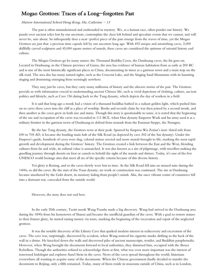### Mogao Grottoes: Traces of a Long-forgotten Past

### Harrow International School Hong Kong, Hu, Catherine  $-13$

The past is often misunderstood and enshrouded in mystery. We, as a human race, often ponder our history. We puzzle over ancient relics lost by our ancestors, contemplate the clues left behind and speculate events that we cannot, and will never be, sure about. So infrequently does a near-perfect piece of the past emerge from the waves of time, yet the Mogao Grottoes are just that: a precious time capsule left by our ancestors long ago. With 492 unique and astonishing caves, 2,000 skillfully carved sculptures and 45,000 square metres of murals, these caves are considered the epitome of oriental history and culture.

The Mogao Grottoes go by many names: the Thousand Buddha Caves, the Dunhuang caves, the list goes on. Located in Dunhuang, in the Chinese province of Gansu, the area has evidence of human habitation from as early as 200 BC and is one of the most historically significant places in China, documenting its times as a garrison town and a main stop on the silk road. The area also has many natural sights, such as the Crescent Lake, and the Singing Sand Mountains with its haunting singing and drumming emerging from seemingly nowhere.

They may just be caves, but they carry many millennia of history and the obscure stories of the past. The Grottoes provide us with information crucial to understanding ancient Chinese life, such as vivid depictions of clothing, culture, ancient politics and lifestyle, such as Cave 156 dating back to the Tang dynasty, which depicts the day of workers in a field.

It is said that long ago a monk had a vision of a thousand buddhas bathed in a radiant golden light, which pushed him on to carve these caves into the cliff as a place of worship. Books and records claim he was then joined by a second monk, and then another as the caves grew in both size and status. Though this story is questionable to some, it is noted that the beginning of the use and occupation of the caves was recorded in 111 BCE, when Han dynasty Emperor Wudi and his army used it as a military frontier in the garrison town of Dunhuang to defend from nomads from the Eurasian Steppe, the Xiongnu.

By the late Tang dynasty, the Grottoes were at their peak. Spurred by Empress Wu Zetian's iron-fisted rule from 690 to 705 AD, it became the bustling main hub of the Silk Road (as depicted by cave 302 of the Sui dynasty). Under the Empress's guide, hundreds of caves were dug, colossal statues erected and more murals brought to life, marking the most rapid growth and development during the Grottoes' history. The Grottoes created a link between the East and the West, blending cultures from far and wide, its cultural value is unmatched. It was also known as a site of pilgrimage, with travellers making the gruelling journey through deserts on foot or camels to behold the sight of the murals and shrines. Today, it's one of the few UNESCO world heritage sites that meet all six of the specific criteria because of this diverse history.

Yet glory is fleeting, and so the caves slowly were lost to time. As the Silk Road fell into an unused state during the 1400s, so did the caves. By the start of the Yuan dynasty, no work or construction was continued. The site at Dunhuang became smothered by the Gobi desert, its memory fading from people's minds. Alas, the once vibrant centre of commerce fell into a dormant rest, concealed from the outside world.

However, the story does not end here.

In the early 20th century, Taoist monk Wang Yuanlu made a big discovery. Wang had arrived in the Dunhuang area during the 1890s from his hometown of Shanxi and became the unofficial guardian of the caves. With a goal to restore statues to their former glory, he started raising money via tours, marking the beginning of the excavation and repair of the neglected grottoes.

It was the notable discovery of the Library Cave that sparked modern interest in rediscovery and excavation of the caves. The cave was, surprisingly, discovered by accident, when Wang noticed his cigarette smoke drifting to the back of the wall in a shrine. He knocked down the walls and discovered piles of ancient manuscripts, textiles, and Buddhist paraphernalia. However, when Wang brought the documents forward to local authorities, they dismissed him, occupied with the Boxer Rebellion. Though the authorities refused to acknowledge them at first, what was even more important was the interest of renowned Indologist and explorer Aurel Stein in the caves. News of the caves spread throughout the world, historians everywhere all wanting to acquire some of the documents. When the Chinese government finally decided to transfer the documents to Beijing, only a fifth remained. Today, many of them reside in museums outside of China, such as in London,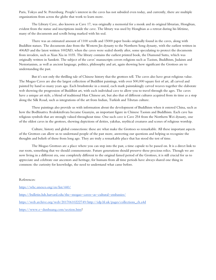Paris, Tokyo and St. Petersburg. People's interest in the caves has not subsided even today, and currently, there are multiple organizations from across the globe that work to learn more.

The Library Cave, also known as Cave 17, was originally a memorial for a monk and its original librarian, Hongbian, evident from the statue and inscriptions inside the cave. The library was used by Hongbian as a retreat during his lifetime, many of the documents and scrolls being marked with his seal.

There was an estimated amount of 1100 scrolls and 15000 paper books originally found in the caves, along with Buddhist statues. The documents date from the Western Jin dynasty to the Northern Song dynasty, with the earliest written in 406AD and the latest written 1002AD, when the caves were sealed shortly after, some speculating to protect the documents from invaders, such as Xian Xia in 1035. The library contains the earliest printed book, the Diamond Sutra, which was originally written in Sanskrit. The subject of the caves' manuscripts covers religions such as Taoism, Buddhism, Judaism and Nestorianism, as well as ancient language, politics, philosophy and art, again showing how significant the Grottoes are to understanding the past.

But it's not only the thrilling tale of Chinese history that the grottoes tell. The caves also have great religious value. The Mogao Caves are also the largest collection of Buddhist paintings, with over 500,000 square feet of art, all carved and painted by hand so many years ago. Each brushstroke in a mural, each mark painstakingly carved weaves together the elaborate web showing the progression of Buddhist art, with each individual cave to allow you to travel through the ages. The caves have a unique art style, a blend of traditional Han Chinese art, but also that of different cultures acquired from its time as a stop along the Silk Road, such as integrations of the art from Indian, Turkish and Tibetan culture.

These paintings also provide us with information about the development of Buddhism when it entered China, such as how the Bodhisattva Avalokiteśvara became Guanyin, an important figure in Chinese Taoism and Buddhism. Each cave has religious symbols that are strongly valued throughout time. One such cave is Cave 254 from the Northern Wei dynasty, one of the oldest caves in the grottoes, showing depictions of deities, yakshas, mythical creatures and scenes of religious worship.

Culture, history and global connections: these are what make the Grottoes so remarkable. All these important aspects of the Grottoes can allow us to understand people of the past more, answering our questions and helping us recognize the thoughts and beliefs of those from long ago. They are truly a remarkable place that has stood the test of time.

The Mogao Grottoes are a place where you can step into the past, a time capsule to be passed on. It is a direct link to our roots, something that we should commemorate. Future generations should preserve these precious relics. Though we are now living in a different era, one completely different to the original famed period of the Grottoes, it is still crucial for us to appreciate and celebrate our ancestors and heritage, for humans from all time periods have always shared one thing in common: the curiosity for knowledge, the need to understand what came before.

#### References:

<https://whc.unesco.org/en/list/440/> <https://bulletin.hds.harvard.edu/the-mogao-caves-as-cultural-embassies/> [https://web.archive.org/web/20170610222749/http://idp.bl.uk/pages/collections\\_ch.a4d](https://web.archive.org/web/20170610222749/http:/idp.bl.uk/pages/collections_ch.a4d) [https://www.e-dunhuang.com/section.htm?](https://www.e-dunhuang.com/section.htm)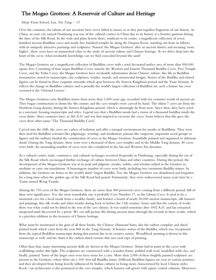# The Mogao Grottoes: A Reservoir of Culture and Heritage

### Heep Yunn School, Lau, Yin Tung - 13

Over the centuries, the talents of our ancestors have never failed to amaze us as they put together fragments of our history. In China, an oasis city named Dunhuang was one of the cultural centres in China due to its history as a frontier garrison during the time of the Silk Road. In the wide and plain deserts there, southeast to its centre, a magnificent collection of seven hundred ancient Buddhist caves and nearly five hundred temples lie along the Daquan River, standing out from its fellows with its uniquely attractive paintings and sculptures. Named 'the Mogao Grottoes' after an ancient district and meaning 'none higher', these caves have an unmatched value to the study of ancient culture and Chinese heritage. As we delve deep into the heart of the caves, what invaluable knowledge can we find concealed beyond the sand?

The Mogao Grottoes are a magnificent collection of Buddhist caves with a total decorated surface area of more than 500,000 square feet. Consisting of four major Buddhist Caves: namely the Western and Eastern Thousand Buddha Caves, Five Temple Caves, and the Yulin Caves, the Mogao Grottoes have invaluable information about Chinese culture, like life in Buddhist monasteries, stored in manuscripts, clay sculptures, textiles, murals, and ornamental designs. Stories of the Buddha and related figures can be found in these exquisite artworks which span between the Sixteen Kingdoms period and the Yuan Dynasty. It reflects the change in Buddhist cultures and is proudly the world's largest collection of Buddhist art; such a feature has even crowned it the 'Oriental Louvre'.

The Mogao Grottoes carry Buddhist stories from more than 1,600 years ago, recorded with ten centuries worth of ancient art. They began construction in about the 4th century and the cave temples were carved by hand. The oldest 7 caves are from the Northern Liang dynasty during the Sixteen Kingdoms period, which is alarmingly far from now. Since then, they have acted as a sanctuary housing manuscripts and relics. Legend says that a Buddhist monk had a vision of a thousand buddhas inside the caves thirty-three centuries later, in 366 A.D. and was first inspired to excavate the caves. Some believe that this gave the caves their other name 'The Thousand Buddha Caves'.

Carved into the cliffs, the caves are a place of isolation and offer a tranquil environment for monks or Buddhists. They were then used for Buddhist activities like pilgrimage, worship, and meditation; patrons like emperors, important social groups or figures and the military funded the construction of caves in the Mogao Grottoes, beautifully painted and organized in elaborate detail. During the Tang dynasty, there were over a thousand of these cave temples and in the Middle Tang dynasty, 80 caves were built. An astounding number of caves were also completed in the Sui and Western Xia dynasties.

As a cultural centre, trade, commerce, and cultural exchanges occurred frequently in Dunhuang, especially during the era of the Silk Road which encouraged further exchange of culture between China and other countries. During this period, the development of the Mogao Grottoes was at its peak and pilgrims, monks, nobles, and scholars settled in the Grottoes to meditate or carry out translations. A humongous number of caves were built, including two enormous Buddha statues. In addition, the Grottoes are home to the world's third-largest Buddha. Yet, the Mogao Grottoes was abandoned and forgotten for a long time when the golden age of the Silk Road had passed. Fortunately, they were rediscovered many years later by a Taoist named Wang Yuanlu.

Among the 735 caves of the Mogao Grottoes, there are more than 400 preserved caves coming from a different period, full of their own significance. Yet, the most remarkable one is probably Cave Number 17, or the Library Cave. It used to be a memorial cave for a local monk from a wealthy family, and features a hoard of nearly 50,000 ancient manuscripts, silk banners and paintings, fine silk works and other textiles dating back to before the 11th century. Some said that the variety of works there was what could not be fitted in the rest of the cave shrines. It was sealed sometime after 1002 A.D. and has remained unopened until discovered by a priest. We can still picture life during ancient times through the records in these works, which is a priceless addition to the treasures of Chinese heritage.

What must be mentioned is the gem of all these books, the Chinese *Diamond Sutra*, also the earliest complete and dated printed book which came from the year 868 in the Tang Dynasty. It features stories of the Buddha, which was exceptional from the typical Buddhist manuscripts during that period due to its creative nature. Woodblock printing is shown in this manuscript as well, and the *Sutra* is the earliest dated version that uses such type of printing.

Other than that, many interesting ancient skills are shown in the Mogao Grottoes. Artists had to paint in the caves with scaffoldings under dim light. The sculptures are constructed with a wooden frame, padded with reed, modelled with clay, and finally, painted. Some of the larger ones even have stone for a core. More than 2,000 of these brightly painted sculptures are present in the Grottoes, where there sits a 100-feet tall Buddha statue. Different Buddhist figures are seen in various postures, and they developed from being heavily influenced by Indian cultures to being more characterized by local Chinese styles. Rock-cut architecture is also portrayed in the cave temples, which features soft gravel with square central columns. Moreover,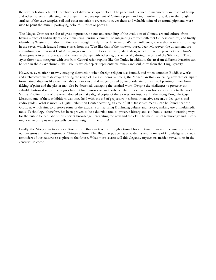the textiles feature a humble patchwork of different scraps of cloth. The paper and ink used in manuscripts are made of hemp and other materials, reflecting the changes in the development of Chinese paper-making. Furthermore, due to the rough surfaces of the cave temples, soil and other materials were used to cover them and valuable mineral or natural pigments were used to paint the murals, portraying colourful stories or portraits.

The Mogao Grottoes are also of great importance to our understanding of the evolution of Chinese art and culture: from having a trace of Indian styles and emphasizing spiritual elements, to integrating art from different Chinese cultures, and finally identifying Western or Tibetan influences through the dynasties. In terms of Western influence, it was shown in wall paintings in the caves, which featured some stories from the West like that of the nine-coloured deer. Moreover, the documents are astonishingly written in at least 20 languages and feature Taoist or even Judaist ideas, which prove the prosperity of China's development in terms of trade and cultural exchange with other regions, especially during the time of the Silk Road. The art styles shown also integrate with arts from Central Asian regions like the Turks. In addition, the art from different dynasties can be seen in these cave shrines, like Cave 45 which depicts representative murals and sculptures from the Tang Dynasty.

However, even after narrowly escaping destruction when foreign religion was banned, and when countless Buddhist works and architecture were destroyed during the reign of Tang emperor Wuzong, the Mogao Grottoes are facing new threats. Apart from natural disasters like the inevitable sandstorms and damages caused by inconsiderate tourists, wall paintings suffer from flaking of paint and the plaster may also be detached, damaging the original work. Despite the challenges to preserve this valuable historical site, archeologists have utilised innovative methods to exhibit these precious historic treasures to the world. Virtual Reality is one of the ways adopted to make digital copies of these caves, for instance. In the Hong Kong Heritage Museum, one of these exhibitions was once held with the aid of projectors, headsets, interactive screens, video games and audio guides. What is more, a Digital Exhibition Center covering an area of 100,000 square metres, can be found near the Grottoes, which aims to preserve some of the exquisite art featuring Dunhuang culture and history, making use of multimedia tools. Technology, therefore, has been proven to be a desirable tool to preserve history and as a bonus, create interesting ways for the public to learn about this ancient knowledge, integrating the new and the old. The mash-up of technology and history might even bring us unexpectedly creative insights in the future!

Finally, the Mogao Grottoes is a cultural centre that can take us through a tunnel back in time to witness the amazing works of our ancestors and the blossoms of Chinese culture. This Buddhist palace has provided us with a mine of knowledge and crucial reminders of our cultures to explore in the future. What more secrets will this elegantly mysterious maiden reveal to us in the centuries to come?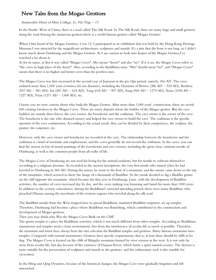### New Tales from the Mogao Grottoes

### Immaculate Heart of Mary College, Li, Yin Ting  $-13$

In the North-West of China, there is a road called The Silk Road. In The Silk Road, there are many large and small grottoes along the road.Among the numerous grottoes,there is a world famous grottoe called 'Mogao Grottoe'.

When I first heard of the Mogao Grottoes, I was 12. I participated in an exhibition that was held by the Hong Kong Heritage Museum.I was attracted by the magnificent architectures, sculptures and murals. It's a pity that the hour is not long ,so I didn't know much about Dunhuang and the Mogao Grottoe. As I am curious to look into deeper of the Mogao Grottoe,I've searched a lot about it.

As for its name, at first it was called "Mogao Caves", Mo means "desert" and also "no". If it is no, the Mogao Caves refers to "the caves in high place of the desert". Also, according to the Buddhism term, "Mo" should mean "no", and "Mogao Caves" means that there is no higher and better caves than the peerless ones.

The Mogao Caves was first excavated in the second year of Jianyuan in the pre Qin period, namely, 366 AD. The caves endured more than 1,000 years eversince for ten dynasties, including the Dynasties of Beiwei (386 AD  $-$  534 AD), Beizhou (557 AD - 581 AD), Sui (581 AD - 618 AD), Tang (618 AD - 907 AD), Song (960 AD - 1279 AD), Xixia (1038 AD - 1227 AD), Yuan (1271 AD - 1368 AD), etc.

I know you are now curious about who built the Mogao Grottos .After more than 1,000 years' construction, there are nearly 600 existing Grottoes in the Mogao Caves. There are many disputes about the builder of the Mogao grottos .Βut the cave builders are mainly three forces: the cave owner, the benefactor and the craftsman. The cave owner is the owner of the cave. The benefactor is the one who donated money and helped the cave owner to build the cave. The craftsman is the specific operator of the cave construction. According to the actual needs, they can be divided by their competency, the sculptor, the painter, the carpenter, etc.

However, only the cave owner and benefactor are recorded in the cave. The relationship between the benefactor and the craftsman is a kind of servitude and employment, and the caves generally do not record the craftsmen. In the caves, you can find the answer in lots of mural paintings of the benefactors and cave owners, including the great clans, eminent monks of Dunhuang, as well as the common people from all walks of life.

The Mogao Caves of Dunhuang are not used for living for the normal residents, but for monks to cultivate themselves according to a religious doctrine. As recorded in the ancient inscriptions, the very first monk who started when he had traveled to Dunhuang in 366 AD. During the sunset, he went to the foot of a mountain, and the sunray came down to the top of the mountain, which seemed to show the image of a thousands of Buddhas. So the monk decided to dig a Buddha grotto on the cliff opposite the mountain, which became the first cave in Dunhuang. Later, with the development of Buddhist activities, the number of caves increased day by day, and the caves making was booming and lasted for more than 1000 years. In addition to the scenery coincidence, during the Buddhism's eastward spreading period, there were many Buddhists who preached Dharma among the merchants of the western regions who traveled along the silk road.

The Buddhist monks from the West stopped here to spread Buddhism, translated Buddhist scriptures, set up temples. Therefore, Dunhuang had become a place where Buddhism was flourishing, which contributed to the construction and development of Mogao grottoes.

Then you may think,why Was the Mogao Caves Built on the Cliff?

The grotto temple is a place for Buddhism activities, which is not much different from other temples. According to Buddhism, monasteries and temples need a clean environment, free from the interference of secular life as much as possible. Therefore, the mountain and forest have always been the sites selection for Buddhist temples and grottoes. Many famous mountains have temples. Compared with normal monasteries, Grottoes have specific requirements, that is, at least there should be cliffs to be dug. The Mogao Caves is located on the cliffs of Mingsha mountain formed by river erosion in the west. It is not only far away from secular life, but also because of the existence of Daquan River, which forms a quiet natural scenery. The dryness is more suitable for the preservation of sculptures and murals in the grottoes, and the sedimentary rock is also suitable for excavation.

In the Ming and Qing Dynasties, because of the historical changes, the Mogao Cave were gradually forgotten and left untouched.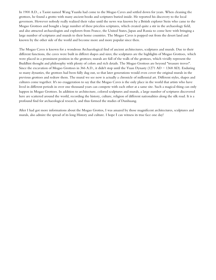In 1900 A.D., a Taoist named Wang Yuanlu had come to the Mogao Caves and settled down for years. When cleaning the grottoes, he found a grotto with many ancient books and scriptures buried inside. He reported his discovery to the local governors. However nobody really realized their value until the news was known by a British explorer Stein who came to the Mogao Grottoes and bought a large number of these priceless scriptures, which created quite a stir in the archaeology field, and also attracted archaeologists and explorers from France, the United States, Japan and Russia to come here with bringing a large number of scriptures and murals to their home countries. The Mogao Caves is popped out from the desert land and known by the other side of the world and become more and more popular since then.

The Mogao Caves is known for a wondrous Archaeological find of ancient architectures, sculptures and murals. Due to their different functions, the caves were built in differet shapes and sizes; the sculptures are the highlights of Mogao Grottoes, which were placed in a prominent position in the grottoes; murals are full of the walls of the grottoes, which vividly represent the Buddhist thought and philosophy with plenty of colors and rich details. The Mogao Grottoes are beyond "treasure troves". Since the excavation of Mogao Grottoes in 366 A.D., it didn't stop until the Yuan Dynasty (1271 AD  $-$  1368 AD). Enduring so many dynasties, the grottoes had been fully dug out, so that later generations would even cover the original murals in the previous grottoes and redraw them. The mural we see now is actually a chronicle of millennial art. Different styles, shapes and cultures come together. It's no exaggeration to say that the Mogao Caves is the only place in the world that artists who have lived in different periods in over one thousand years can compete with each other at a same site. Such a magical thing can only happen in Mogao Grottoes. In addition to architecture, colored sculptures and murals, a large number of scriptures discovered here are scattered around the world, recording the history, culture, religion of different nationalities along the silk road. It is a profound find for archaeological research, and thus formed the studies of Dunhuang.

After I had got more informations about the Mogao Grottos, I was amazed by those magnificent architectures, sculptures and murals, also admire the spread of its long History and culture. I hope Ι can witness its true face one day!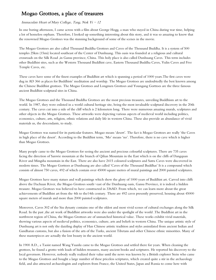# Mogao Grottoes, a place of treasures

### Immaculate Heart of Mary College, Tang, Nok  $Yi - 12$

In one boring afternoon, I came across with a film about George Hogg, a man who stayed in China during war time, helping a lot of homeless orphans. Therefore, I looked up something interesting about this story, and it was so amazing to know that the renowned Mogao Grottoes was the stunning background of some of the scenes in the movie.

The Mogao Grottoes are also called Thousand Buddha Grottoes and Caves of the Thousand Buddha. It is a system of 500 temples 25km (15mi) located southeast of the Center of Dunhuang. This oasis was founded at a religious and cultural crossroads on the Silk Road ,in Gansu province, China. This holy place is also called Dunhuang Caves. This term includes other Buddhist sites, such as the Western Thousand Buddhist cave, Eastern Thousand Buddha Caves, Yulin Caves and Five Temple Caves, etc.

These caves have some of the finest examples of Buddhist art which is spanning a period of 1000 years.The first caves were dug in AD 366 as places for Buddhists' meditation and worship. The Mogao Grottoes are undoubtedly the best known among the Chinese Buddhist grottoes. The Mogao Grottoes and Longmen Grottoes and Youngang Gorttoes are the three famous ancient Buddhist sculptural sites in China.

The Mogao Grottoes and the Thousand Buddha Grottoes are the most precious treasures, unveiling Buddhism art to the world. In 1987, they were enlisted in a world cultural heritage site, being the most invaluable sculptural discovery in the 20th century. The caves cut into a side of the cliff which is 2 kilometers long. There were numerous amazing murals, sculptures and other objects in the Mogao Grottoes. These artworks were depicting various aspects of medieval world including politics, economics, culture, arts, religion, ethnic relations and daily life in western China. These also provide an abundance of vivid materials us, the descendants, to study.

Mogao Grottoes was named for its particular features. Mogao means 'desert'. The fact is Mogao Grottoes are really 'the Caves in high place of the desert'. According to the Buddhist term, 'Mo' means 'no'. Therefore, there is no cave which is higher than Mogao Grottoes.

Many people came to the Mogao Grottoes for seeing the ancient and precious colourful sculptures. There are 735 caves facing the direction of Sanwie mountain at the branch of Qilian Mountain in the East which is on the cliffs of Dangquan River and Mingsha mountain in the East. There are also have 2415 coloured sculptures and Sutra Caves were discovered in modern times. The Mogao Gorttoes ar Dunhuang are also called 'Caves of the Thousand Buddhas' It is a compound which consists of almost 750 caves, 492 of which contain over 45000 square metres of mural paintings and 2000 painted sculptures.

Mogao Grottoes have many statues and wall paintings which show the glory of 1000 years of Buddhist art. Carved into cliffs above the Dachuan River, the Mogao Grottoes south-east of the Dunhuang oasis, Gansu Province, it is indeed a hidden treasure. Mogao Grottoes was believed to have constructed in 336AD. From which, we can learn more about the great achievements of Buddhist art from the 4th to the14th century. There are 492 caves presently preserved, housing about 45000 square meters of murals and more than 2000 painted sculptures.

Moreover, Caves 302 of the Siu dynasty contains one of the oldest and most vivid scenes of cultural exchanges along the Silk Road. In the past ,the art work of Buddhist artworks were also under the spotlight of the world .The Buddhist art in the northwest region of China, the Mogao Grottoes are of unmatched historical value. These works exhibit vivid materials, showing various aspects of medieval politics, economics, culture, arts and beliefs in western China. The unique artistic style of Dunhuang art is not only the dazzling display of Han Chinese artistic tradition and styles assimilated from ancient Indian and Gandharan customs, but also a fusion of the arts of the Turks, ancient Tibetans and other Chinese ethnic minorities. Many of these masterpieces are actually the lost beauty in the ancient world.

In 1900 A.D., a Taoist named Wang Yuanlu came to the Mogao Grottoes and settled there for years. When cleaning the grottoes, he found a grotto with loads of hidden treasures, many ancient books and scriptures. He reported his discovery to the local governors. However, nobody really realized their value until the news was known by a British explorer Stein who came to the Mogao Grottoes and bought a large number of these priceless scriptures, which created quite a stir in the archaeology field, and also attracted archaeologists and explorers from France, the United States, Japan and Russia to come here with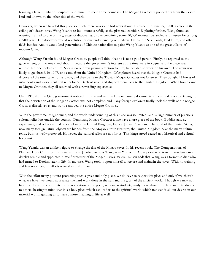bringing a large number of scriptures and murals to their home countries. The Mogao Grottoes is popped out from the desert land and known by the other side of the world.

However, when we traveled this place so much, there was some bad news about this place. On June 25, 1900, a crack in the ceiling of a desert caves Wang Yuanlu to look more carefully at the plastered corridor. Exploring further, Wang found an opening that led to one of the greatest of discoveries: a cave containing some 50,000 manuscripts, sealed and unseen for as long as 900 years. The discovery would revolutionize our understanding of medieval China, the Silk Roads, Buddhism, and other fields besides. And it would lead generations of Chinese nationalists to paint Wang Yuanlu as one of the great villains of modern China.

Although Wang Yuanlu found Mogao Grottoes, people still think that he is not a good person. Firstly, he reported to the government, but no one cared about it because the government's interests at the time were in vogue, and the place was remote. No one looked at him. Seeing no one was paying attention to him, he decided to work on his own. The news was likely to go abroad. In 1907, one came from the United Kingdom. Of explorers heard that the Mogao Grottoes had discovered the sutra cave not far away, and they came to the Tibetan Mogao Grottoes not far away. They bought 24 boxes of sutra books and various cultural relics for 500 taels of silver and shipped them back to the United Kingdom. When home came to Mogao Grottoes, they all returned with a rewarding experience.

Until 1910 that the Qing government noticed its value and returned the remaining documents and cultural relics to Beijing, so that the devastation of the Mogao Grottoes was not complete, and many foreign explorers finally took the walls of the Mogao Grottoes directly away and try to removed the entire Mogao Grottoes.

With the government's ignorance, and the world understanding of this place was so limited, and a large number of precious cultural relics lost outside the country, Dunhuang Mogao Grottoes alone have a rare piece of the book, Buddha statues, experience, and other cultural relics fell into the United Kingdom, France, Japan, Russia and The hand of the United States, now many foreign natural objects are hidden from the Mogao Grotto treasures, the United Kingdom have the many cultural relics, but it is well-preserved. However, the cultural relics are not for us. This king's greed caused us a historical and cultural holocaust.

Wang Yuanlu was an unlikely figure to change the fate of the Mogao caves. In his recent book, The Compensations of Plunder: How China lost Its treasures. Justin Jacobs describes Wang as an "itinerant Daoist priest who took up residence in a derelict temple and appointed himself protector of the Mogao Caves. Valere Hansen adds that Wang was a former soldier who had turned to Daoism later in life. In any case, Wang took it upon himself to restore and maintain the caves. With no training and few resources, his efforts were slow and ad hoc.

With the effort many put into protecting such a great and holy place, we do have to respect this place and only if we cherish what we have, we would appreciate the hard work done in the past and the glory of the ancient world. Though we may not have the chance to contribute to the restoration of the place, we can, as students, study more about this place and introduce it to others, bearing in mind that it is a holy place which can lead us to the spiritual world which transcends all our desires in our material world, guiding us to have a more meaningful life as well.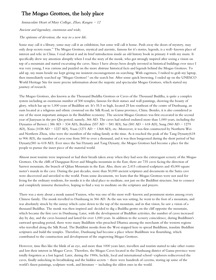# The Mogao Grottoes, the holy place

Immaculate Heart of Mary College, Zhao, Kangru  $-12$ 

Ancient and legendary, enormous and wide,

### The epitome of devotion, the way to a new life.

Some may call it a library, some may call it an exhibition, but some will call it home. Push away the doors of mystery, may only deep secrets roam." The Mogao Grottoes, mystical and atavistic, famous for it's stories, legends, is a well-known place of interest and relic in China. I read about it and its brief introduction inside an old history book in primary 4 with my mum. It specifically drew my attention abruptly when I read the story of the monk, who got strongly inspired after seeing a vision on top of a mountain and started excavating the caves. Since I have always been deeply invested in historical buildings ever since I was very young, I was curious and puzzled on the more abstruse historical facts and legends behind the Mogao Grottoes. To add up, my mum beside me kept giving me insistent encouragement on searching. With eagerness, I rushed to grab my laptop, then immediately searched up "Mogao Grottoes' ' on the search bar. After some quick browsing, I ended up on the UNESCO World Heritage Site for more precise information about the majestic and spectacular Mogao Grottoes, which started my journey of research.

The Mogao Grottoes, also known as the Thousand Buddha Grottoes or Caves of the Thousand Buddha, is quite a complex system including an enormous number of 500 temples, famous for their statues and wall paintings, showing the beauty of glory, which has up to 1,000 years of Buddhist art. It's 35.5 m high, located 25 km southeast of the centre of Dunhuang, an oasis located at a religious and ethnic crossroad on the Silk Road, in Gansu province, China. Besides, it is also considered as one of the most important antiques in the Buddhist economy. The ancient Mogao Grottoes was first excavated in the second year of Jianyuan in the pre Qin period, namely, 366 AD. The caves had indeed endured more than 1,000 years, including the Dynasties of Beiwei ( 386 AD - 534 AD), Beizhou (557 AD - 581 AD), Sui (581 AD - 618 AD), Song (960 AD - 1279 AD), Xixia (1038 AD - 1227 AD), Yuan (1271 AD - 1368 AD), etc. Moreover, it was first constructed by Northern Wei and Northern Zhou, who were the members of the ruling family at the time. As it reached the peak of the Tang Dynasty(618 to 906 AD), the number of caves rose from 500 to over a thousand, and it was then burgeoned during the short period of Sui Dynasty(581 to 618 AD). Ever since the Sui Dynasty and Tang Dynasty, the Mogao Grottoes had become a place for the people to pursue the inner piece of the material world.

Almost most tourists were impressed or had their breath taken away when they had seen the extravagant scenery of the Mogao Grottoes. On the cliffs of Dangquan River and Mingsha mountain in the East, there are 735 caves facing the direction of Sanwei mountain, the branch of Qilian Mountain in the East. Also, there are 2,415 coloured sculptures and 45,000 square meter's murals in the cave. During the past decades, more than 50,000 ancient scriptures and documents in the Sutra cave were discovered and unveiled to the world. From some documents, we learn that the Mogao Grottoes were not used for living for the ordinary residents, for monks it is the ideal place to meditate, not just on the Buddhist structure, but to connect and completely immerse themselves, hoping to find a way to meditate on the scriptures and prayers.

There was a story about a monk named Yunzen, who was one of the most well-known and prominent stories among every Chinese family. The monk travelled to Dunhuang in 366 AD. As the sun was setting, he went to the foot of a mountain, and was absolutely struck by the sunray which came down to the top of the mountain, and in that vision, he saw a vision of a thousand Buddhas. The monk was then inspired and decided to dig a Buddha grotto on the cliff opposite the mountain, which became the first cave in Dunhuang. Later, with the development of Buddhist activities, the number of caves increased day by day, and the caves boomed and lasted for over 1,000 years. In addition to the scenery coincidence, during Buddhism's eastward spreading period, there were many Buddhists who preached Dharma among the merchants of the western regions who travelled along the Silk Road. The Buddhist monks from the West stopped here to spread Buddhism, translate Buddhist scriptures and build the temples. Therefore, Dunhuang had become a place where Buddhism was flourishing, which contributed to the construction and development of the ongrowing Mogao Grottoes.

However, time flies like the blink of an eye, and more than 1000 years later, travellers and tourists started to take other routes and lost their interest in Mogao Caves. Therefore, the Mogao Caves located in the Dunhuang district of Gansu province were totally forgotten as a lost legend. Later, during the 1900s, luckily, local and international school-explorers rediscovered the caves, finally unlocking its breathtaking and the hidden secrets - there were hundreds of caverns, storing up some of the world's finest paintings, sculpture work, and literature  $-$  including the oldest ones in the world.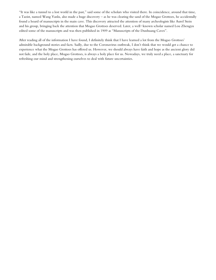"It was like a tunnel to a lost world in the past," said some of the scholars who visited there. In coincidence, around that time, a Taoist, named Wang Yanlu, also made a huge discovery – as he was clearing the sand of the Mogao Grottoes, he accidentally found a hoard of manuscripts in the main cave. This discovery attracted the attention of many archeologists like Aurel Stein and his group, bringing back the attention that Mogao Grottoes deserved. Later, a well-known scholar named Lou Zhengyu edited some of the manuscripts and was then published in 1909 as "Manuscripts of the Dunhuang Caves".

After reading all of the information I have found, I definitely think that I have learned a lot from the Mogao Grottoes' admirable background stories and facts. Sadly, due to the Coronavirus outbreak, I don't think that we would get a chance to experience what the Mogao Grottoes has offered us. However, we should always have faith and hope as the ancient glory did not fade, and the holy place, Mogao Grottoes, is always a holy place for us. Nowadays, we truly need a place, a sanctuary for refreshing our mind and strengthening ourselves to deal with future uncertainties.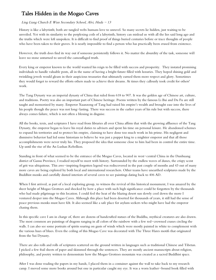# Tales Hidden in the Mogao Caves

### Ling Liang Church E Wun Secondary School, Alvi, Huda  $-13$

History is like a labyrinth; both are tangled webs humans love to unravel. So many secrets lie hidden, just waiting to be unveiled. Yet with its similarity to the perplexing coils of a labyrinth, history can mislead us with all the lies said long ago and the truths which were left unspoken. It is difficult to find proof of things buried centuries before or trace thoughts of people who have been taken to their graves. It is nearly impossible to find a person who has practically been erased from existence.

However, the truth does find its way out if someone persistently follows it. No matter the absurdity of the task, someone will leave no stone unturned to unveil the camouflaged truth.

Every king or emperor known to the world wanted his reign to be filled with success and prosperity. They instated promising individuals to handle valuable posts, all in the name of having a bright future filled with luxuries. They hoped shining gold and twinkling jewels would gleam in their auspicious treasuries that ultimately earned them more respect and glory. Sometimes they would forget to reward the efforts others made to achieve their dreams. At times they callously took credit for others' work.

The Tang Dynasty was an imperial dynasty of China that ruled from 618 to 907. It was the golden age of Chinese art, culture, and traditions. Poetry was also an important part of Chinese heritage. Poems written by the famous Li Bai and Du Fu are still taught and memorized by many. Emperor Xuanzong of Tang had raised his empire's wealth and brought ease into the lives of his people though the peace was not long-lasting. There was success in the earlier years of his rule but with success, there always comes failure, which is not often a blessing in disguise.

All the books, texts, and scriptures I have read from libraries all over China affirm that with the growing affluence of the Tang Dynasty, the emperor began to leave his royal duties to advisers and spent his time on personal leisure. He abandoned schemes to expand his territories and to protect his empire, claiming to have done too much work in his prime. His negligent and dismissive behavior had led some historians to believe he was just a puppet king to a mightier emperor and that all those accomplishments were never truly his. They proposed the idea that someone close to him had been in control the entire time. Up until the rise of the An Lushan Rebellion.

Standing in front of what seemed to be the entrance of the Mogao Caves, located in west-central China in the Dunhuang district of Gansu Province, I readied myself to meet with history. Surrounded by the endless waves of dunes, the crispy scent of grit was ubiquitous. This awe-inspiring forgotten legend was rediscovered in the past couple of months and 43 out of many more caves are being explored by both local and international researchers. Other teams have unearthed sculptures made by the Buddhist monks and carefully dusted interiors of several caves to see paintings dating back to 406 AD.

When I first arrived, as part of a local exploring group, to witness the revival of this historical monument, I was amazed by the sheer height of Mogao Grottoes and shocked by how a place with such high significance could be forgotten by the thousands who had made pilgrimage to this location. I could feel the heat of the blazing desert sun slowly cool down the more I ventured deeper into the Mogao Caves. Although this place had been deserted for thousands of years, it still had the sense of peace previous monks must have felt. It also seemed like a safe place for asylum seekers who might have had the emperor chasing them.

In this specific cave I am in charge of, there are dozens of handcrafted statues of the Buddha, mythical creatures are also drawn. The most common are paintings of dragons ranging in all colors of the rainbow with a few red-crowned cranes circling the walls. I can also see some portraits of spirits soaring on gusts of winds which were mostly painted in white to complement with the various hues of blues. Even the ceiling of this Mogao Cave was decorated with The Three Hares motifs that originated from the Sui Dynasty.

There are also rolls and rolls of scriptures scattered on the ground written in languages such as traditional Chinese and Tibetan. I picked a few frail sheets of paper and skimmed through the sentences. They are mostly ancient manuscripts about religion, philosophy, and poetry written to demonstrate how the Mogao Grottoes mountain was created as a sacred Buddhist space.

After I was done reading the papers in my hands, I placed them in a container against the wall to take back to my research camp. I moved some more books around but one in particular caught my eye. It was a worn leather-bound book filled with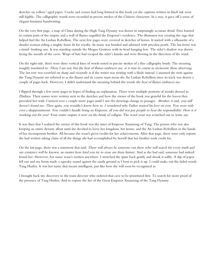sketches on yellow-aged paper. Cracks and creases had long formed in this book yet the captions written in black ink were still legible. The calligraphic words were recorded in precise strokes of the Chinese characters. In a way, it gave off a sense of elegant feminine handwriting.

On the very first page, a map of China during the High Tang Dynasty was drawn in surprisingly accurate detail. Fires burned in certain parts of the empire and a wall of flames engulfed the Emperor's residence. The illustrator was creating the rage that helped fuel the An Lushan Rebellion. The next few pages were covered in sketches of horses. It started with a silhouette of a slender woman riding a mighty horse fit for royalty. Its mane was braided and adorned with priceless pearls. The last horse was a timid-looking one. It was standing outside the Mogao Grottoes with its head hanging low. The rider's shadow was drawn facing the mouth of the caves. Wisps of hair had escaped the rider's hairdo and were flowing in the direction of the wind.

On the right side, there were three vertical lines of words noted in precise strokes of a fine calligraphy brush. The meaning roughly translated to: There I am not, but the heat of flames embraces me, as it runs its course to incinerate those deserving. The last row was scrawled on sharp and viciously as if the writer was writing with a blade instead. I assumed the riots against the Tang Dynasty are referred to as the flames and its course must mean the An Lushan Rebellion since its track was drawn a couple of pages back. However, I didn't understand the meaning behind the words the heat of flames embraces me.

I flipped through a few more pages in hopes of finding an explanation. There were multiple portraits of monks dressed in Zhiduos. Their names were written next to the sketches and how the owner of the book was grateful for the haven they provided her with. I turned over a couple more pages until I saw the drawings change to passages. Brother, it said, you still haven't found me. Then again, you wouldn't know how to. I wondered why Father wasted his love on you. You were only ever a disappointment. You couldn't handle being an Emperor, all you did was pay people to bear the responsibility. How is it working out for you? Your entire empire is now on the brink of collapse. The word your was scratched out to write my.

It was then that I realized the owner of this book was the sister of Emperor Xuanzong of Tang. The person who was also keeping an entire dynasty afloat until she decided to leave her kingdom, her home, and the An Lushan Rebellion in the hands of her incompetent brother. All because she wasn't given credits for her achievements. After that page, there were only reports she had written taking claim of all the things she had accomplished by herself that her brother took credit for.

On the last page, there was a statement that said: There will always be someone out there who will search for every truth and my existence will be known, no matter how hard you try to erase me from history. And as she had said, someone had indeed found her. However, her name wasn't written anywhere. I stretched the spine back gently and shook it softly. A slip of paper fell out and my boots made a squeaky sound against the sandy ground as I bent to pick it up. I could make out the faded words Tang Huifen. It was her name that meant intelligent, just like how she will soon be recognized as.

I brought back my discovery to the team director who ordered that cave to be prioritized first. To search for more proof of the presence of Tang Huifen. And to expose the lies of the Great Emperor Xuanzong of the Tang Dynasty.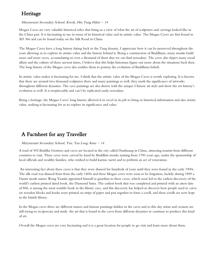### Heritage

### Marymount Secondary School, Kwok, Hin Tung Hilari  $-14$

Mogao Caves are very valuable historical relics that bring us a view of what the art of sculptures and carvings looked like in the China past. It is fascinating to me in terms of its historical value and its artistic value. The Mogao Caves are first found in AD 366 and can be found today on the Silk Road in China.

The Mogao Caves have a long history dating back to the Tang dynasty, I appreciate how it can be preserved throughout the years allowing us to explore its artistic value and the history behind it. Being a construction of Buddhism, many monks build more and more caves, accumulating to over a thousand of them that we can find nowadays. The caves also depict many social affairs and the culture of those ancient times, I believe that this helps historians figure out more about the situations back then. The long history of the Mogao caves also enables them to portray the evolution of Buddhism beliefs.

Its artistic value makes it fascinating for me. I think that the artistic value of the Mogao Caves is worth exploring. It is known that there are around two thousand sculptures there and many paintings as well, they mark the significance of artworks throughout different dynasties. The cave paintings are also drawn with the unique Chinese art style and show the art history's evolution as well. It is irreplaceable and can't be replicated easily nowadays.

Being a heritage, the Mogao Caves' long history allowed it to excel in its job to bring us historical information and also artistic value, making it fascinating for us to explore its significance and value.

### A Factsheet for any Traveller

### Marymount Secondary School, Yau, Yau Long Anna  $-14$

A total of 492 Buddha Grottoes and caves are located in the city called Dunhuang in China, attracting tourists from different countries to visit. These caves were carved by hand by Buddhist monks starting from 1700 years ago, under the sponsorship of local officials and wealthy families, who wished to build karmic merit and to perform an act of veneration.

An interesting fact about these caves is that they were disused for hundreds of years until they were found in the early 1900s. The silk road was disused from from the early 1400s and these Mogao caves were soon to be forgotton, luckily during 1890 a Daoist monk names Wang Yuanlu appointed himself as guardian to these caves, which soon led to the earliest discovery of the world's earliest printed dated book, the Diamond Sutra. The earliest book that was completed and printed with an attest date of 868, is among the most notable book in the library cave, and this discovery has helped us discover how people used to carve on wooden blocks and books were printed on strips of paper and past together to form a scroll, and these scrolls are now kept in the british library.

In the Mogao caves there are different statues and famous paintings hidden in the caves and to this day artists and creators are still trying to reciprocate and study the art that is found in the caves from different dynasties to continue to produce this kind of art.

Overall the Mogao caves are very fascinating and it is a great location for people to go visit and learn more about them.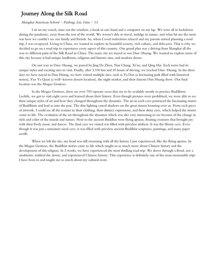### Journey Along the Silk Road

### Shanghai American School - Pudong, Lin, Gina - 13

I sit on my couch, stare out the window, a book in one hand and a computer on my lap. We were all in lockdown during the pandemic, away from the rest of the world. We weren't able to travel, indulge in nature, and what hit me the most was how we couldn't see our family and friends. So, when Covid restrictions relaxed and my parents started planning a road trip, I was overjoyed. Living in China, we wanted to explore its beautiful scenery, rich culture, and delicacies. That is why we decided to go on a road trip to experience every aspect of this country. Our grand plan was a driving from Shanghai all the way to different parts of the Silk Road in China. The main city we stayed at was Dun-Huang. We wanted to explore more of this city because it had unique landforms, religious and historic sites, and modern shows.

On our way to Dun-Huang, we passed by Jing De Zhen, Nan Chang, Xi'an, and Qing Hai. Each town had its unique styles and exciting sites to visit. Finally, after 3,100 km and 35 hours of driving, we reached Dun-Huang. In the three days we have stayed in Dun Huang, we have visited multiple sites, such as Ya Dan (a fascinating park filled with historical stones), Yue Ya Quan (a well-known dessert location), the night market, and their famous Dun Huang show. Our final location was the Mogao Grottoes.

In the Mogao Grottoes, there are over 750 separate caves that use to be available mostly to practice Buddhism. Luckily, we got to visit eight caves and learned about their history. Even though pictures were prohibited, we were able to see their unique styles of art and how they changed throughout the dynasties. The art in each cave portrayed the fascinating stories of Buddhism and lead us into the past. The dim lighting casted shadows on the great statues looming over us. From each piece of artwork, I could see all the texture in their clothing, their distinct expressions, and their shiny eyes, which helped the stories come to life. The evolution of the art throughout the dynasties which was also very interesting to see because of the change in style and color of the murals and statues. Next to the ancient Buddhas were flying apsaras, floating creatures that brought joy with their lively music and dances. The final cave we visited was filled with priceless artifacts. It was the library cave. Even though it was just a miniature sized cave, it was filled with priceless ancient Buddhist scriptures, paintings, and many paper scrolls.

When we left the site, my head was still swarming with all the history I just experienced, like the flying apsaras. In the Mogao Grottoes, the Buddhist stories came to life which taught us so much more about Chinese history and the development of this religion. In 2 weeks, we have experienced the most thrilling road trip. We drove through a flood, saw a sandstorm, trekked the desert, and experienced Chinese history. This experience is definitely one of the most memorable trips I have been to and taught me so much about my cultural roots.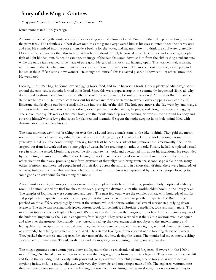### Story of the Mogao Grottoes

Singapore International School, Lim, Jie Xun Lucas  $-12$ 

Much more than a 1000 years ago,

A monk walked along the dusty silk road, shoes kicking up small plumes of sand. I'm nearly there, keep on walking, I can see the palm trees! The relentless sun beat down on him as the glare overpowered him as his eyes squinted to see the nearby oasis and cliff. He stumbled into the oasis and made a beeline for the water, and squatted down to drink the cool water gratefully. No water seemed sweeter than this to him. When he had drunk his fill, he looked up at the cliff face and suddenly, a bright flash of light blinded him. When he came to, an image of the Buddha stared down at him from the cliff, casting a radiant aura while the statue itself seemed to be made of pure gold. He gasped in shock, jaw hanging open. This was definitely a vision, sent to him by the Buddha himself. Just as quickly as it appeared, it disappeared. The monk shook his head, clearing it, and looked at the cliff face with a new wonder. He thought to himself, this is a sacred place, but how can I let others know too? He wondered.

Looking in his small bag, he found several digging tools, food, and some harvesting tools. He saw plenty of edible vegetation around the oasis, and a thought formed in his head. Since this was a popular stop in the commonly frequented silk road, why don't I build a shrine here? And since Buddha appeared in the mountain, I should carve a cave! A shrine to Buddha, and a statue while I'm at it! He immediately took out his shovel and tools and started to work, slowly chipping away at the cliff, limestone chunks flying out from a small hole dug into the side of the cliff. The hole got larger as the day went by, and many a curious traveler wondered at what he was doing or chipped in a bit themselves, helping speed along the process of digging. The shovel made quick work of the small hole, and the monk curled up inside, tucking his woolen robe around his body and covering himself with a few palm leaves for blankets and warmth. He spent the night sleeping in his hole, mind filled with determination to complete his task.

The next morning, dawn was breaking out over the oasis, and some animals came to the lake to drink. They paid the monk no heed, as they had seen many others cross the silk road in large groups. He went back to his work, redoing his steps from yesterday. He dug a hole continuously, tirelessly, but at least he had the shade of his previous hole. Occasionally, the monk stepped out from his work and took some gulps of water, before resuming his arduous work. Finally, he had completed a small cave in which he rested. Monks that passed the silk road saw his work, and questioned him about his intentions. He responded by recounting his vision of Buddha and explaining his work here. Several monks were excited and decided to help, while others went on their way, promising to inform everyone of their plight and bring assistance as soon as possible. Soon, many others of monks and interested people heard of their doing across the land, and in a short span of time, there were hundreds of workers, toiling at the cave that was slowly but surely taking shape. This was all sponsored by the richer people looking to do some good and earn some favour among the monks.

After almost a decade, the mogao grottoes were finally completed with beautiful statues, paintings, holy scripts and a library room. The monk added the final touches to the cave, placing the diamond sutra (the world's oldest book) in the library cave. The temples of Dunhuang were completed and open. The next few years were the temples busiest, with hundreds of monks and people who frequented the silk road stopping by at the oasis to have a break or pay their respects. The Buddha that perched on the cliff face stared regally down at the visitors, while the shrine within had several nirvana statues lying down serenely. The trade was roaring, with spices, cotton, wool, fur, ceramice, embroidery, medicine, tools and many more. The mogao grottoes were at its height. Then, in 1006, the monks that lived in the mogao grottoes heard of the distant conquest of the buddhist kingdom by the islamic conquerors from kashgar. They were worried that the islamic warriors would conquer and take over the grottoes. Reluctantly, they started to seal up the cave, saying their goodbyes to the ancient temple and hiding their manuscripts in small cubbyholes. They finally evacuated and sealed the cave tightly, worried about their fountain of knowledge here being breached and sabotaged. They started leaving in droves, scared of the looming threat of invaders. They packed their camels, and departed for safer areas of the country, fleeing the islams. The monks fled the country, seeking a safe haven for themselves. The islams did not find the mogao grottoes, letting it live to see another day.

The mogao grottoes soon became just a dusty old legend in the desert, abandoned and forgotten. However, in the 1900's monk Wang Yuanlu led an expedition to rediscover the mogao grottoes from the ancient legends. They went to the same cliff and found the seal, disguised cleverly with plants and rocks, excavated it carefully using precise tools, so as not to damage anything inside, and… a musty, old cave, with very dry, dusty air, and not a single trace of life. The explorers ventured into the cave, one by one stepped into it while holding out torches and exploring the cavern slowly, the cave rooms starting to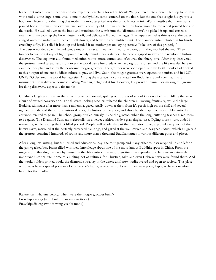branch out into different sections and the explorers searching for relics. Monk Wang entered into a cave, filled top to bottom with scrolls, some large, some small, some in cubbyholes, some scattered on the floor. But the one that caught his eye was a book on a lectern, but the thing that made him most surprised was the print. It was in ink! Was it possible that there was a printed book? If it was, this cave was well over a century old, if it was printed, this book would be the oldest printed book in the world! He walked over to the book and translated the words into the 'diamond sutra'. he picked it up, and started to examine it. He took up the book, dusted it off, and delicately flipped the pages. The paper seemed as thin as rice, the paper clinged onto the surface and I peeled it off slowly, and blew the accumulated dust. The diamond sutra unfurled in his hands, crackling softly. He rolled it back up and handed it to another person, saying sternly: "take care of this properly." The person nodded solemnly and strode out of the cave. They continued to explore, until they reached the end. They lit torches to cast bright rays of light upon the newly found nirvana statues. The people gasped in awe at the newfound historic discoveries. The explorers also found meditation rooms, more statues, and of course, the library cave. After they discovered the grottoes, word spread, and from over the world came hundreds of archaeologists, historians and the like traveled here to examine, decipher and study the newfound mogao grottoes. The grottoes were soon open, and by 1930, monks had flocked to this hotspot of ancient buddhist culture to pray and live. Soon, the mogao grottoes were opened to tourists, and in 1987, UNESCO declared it a world heritage site. Among the artefacts, it concentrated on Buddhist art and even had many manuscripts from different countries. Wang Yuanku, delighted at his discovery, felt proud of himself for making this groundbreaking discovery, especially for monks.

Children's laughter danced in the air as another bus arrived, spilling out dozens of school kids on a field trip, filling the air with a buzz of excited conversation. The flustered looking teachers ushered the children in, waving frantically, while the large Buddha, still intact after more than a millennia, gazed regally down at them from it's perch high on the cliff, and several signboards indicated the various historical relics, the history of the place, and also a handy map. Tourists jumbled into the entrance, excited to go in. The school group hustled quickly inside the grottoes while the long-suffering teacher asked them to be quiet. The Diamond Sutra sat majestically on a velvet cushion inside a glass display case. Ogling tourists surrounded it reverently, while reading the fact filled placard. People walked silently past the meditation cave, explored every inch of the library caves, marveled at the perfectly preserved paintings, and gazed at the well carved and designed statues, which a sign said the grottoes contained hundreds of rooms and more than a thousand Buddha statues in various different poses and places.

After a long, exhausting, but fun-filled and educational day, the tour group and many other tourists wrapped up and left on the jam-packed bus, brains filled with new knowledge about one of the most famous Buddhist spots in China. From the single monk that dug the cave by himself in the 4th century, the mogao grottoes has expanded and became an extremely important historical site, home to a melting pot of cultures, for Christian, Sikh and even Hebrew texts were found there. And the world's oldest printed book, the diamond sutra, lay in the desert until now, rediscovered and open to society. This place will always have a special place in a lot of people's hearts, especially monks with their new place, happy to have a newfound haven for their culture.

References: whc.unesco.org (when were the mogao grottoes built?) En.wikipedia.org (who built the mogao grottoes?) En.wikipedia.org (who is wang yuanlu monk)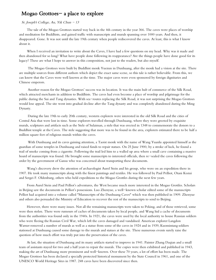### Mogao Grottoes- a place to explore

#### St. Joseph's College, Au, Yik Chun - 13

 The tale of the Mogao Grottoes started way back in the 4th century in the year 366. The caves were places of worship and meditation for Buddhists, and gained traffic with manuscripts and murals spanning over 1000 years. And then, it disappeared. Gone. It was not until the late 19th century when people rediscovered the caves. At least, this is what I know about it.

 When I received an invitation to write about the Caves, I have had a few questions on my head. Why was it made and then abandoned for so long? What have people done following its reappearance? Are the things people have done good for its legacy? These are what I hope to answer in this composition, not just to the readers, but also myself.

 The Mogao Grottoes were built by Buddhist monk Yuezun in Dunhuang, after the monk had a vision at the site. There are multiple sources from different authors which depict the exact same scene, so this tale is rather believable. From this, we can know that the Caves were well known at the time. The major caves were even sponsored by foreign dignitaries and Chinese emperors.

 Another reason for the Mogao Grottoes' success was its location. It was the main hub of commerce of the Silk Road, which attracted merchants in addition to Buddhists. The caves had even become a place of worship and pilgrimage for the public during the Sui and Tang dynasties. With sea-routes replacing the Silk Road, it was not surprising the Mogao Grottoes would lose appeal. The site went into gradual decline after the Tang dynasty and was completely abandoned during the Ming Dynasty.

 During the late 19th to early 20th century, western explorers were interested in the old Silk Road and the cities of Central Asia that were lost in time. Some explorers travelled through Dunhuang, where they were greeted by exquisite murals, sculptures and artifacts such as the Stele of Sulaiman, a stele that was erected in 1348 to commemorate the donors to a Buddhist temple at the Caves. The stele suggesting that more was to be found in the area, explorers estimated there to be half a million square feet of religious murals within the caves.

 With Dunhuang and its caves gaining attention, a Taoist monk with the name of Wang Yuanlu appointed himself as the guardian of some temples in Dunhuang and raised funds to repair statues. On 25 June 1900, by a stroke of luck, he found a trail of smoke coming from a cigarette. Following the trail led him to a walled up area where a small cave containing a massive hoard of manuscripts was found. He brought some manuscripts to interested officials, then re-sealed the caves following the order by the government of Gansu who was concerned about transporting these documents.

 Wang's discovery drew the attention of archaeologist Aurel Stein and his group, who were on an expedition there in 1907. He took many manuscripts along with the finest paintings and textiles. He was followed by Paul Pelliot, Otani Kozui and Sergei F. Oldenburg, others who held expeditions to the Mogao Grottles during the next few years.

 From Aurel Stein and Paul Pelliot's adventures, the West became much more interested in the Mogao Grottles. Scholars in Beijing saw the documents in Pelliot's possessions. Luo Zhenyue, a well-known scholar edited some of the manuscripts Pelliot had acquired into a volume called "Manuscripts of the Dunhuang Caves" which was then published in 1909. Zhenyue and others also persuaded the Ministry of Education to recover the rest of the manuscripts to send to Beijing.

 However, there were many issues. Not all the remaining manuscripts were taken to Peking, and of those retrieved, some were then stolen. There were rumours of caches of documents taken by local people, and Wang hid a cache of documents from the authorities was found only in the 1940s. In 1921, the caves were used by the local authority to house Russian soldiers who were fleeing the Russian Civil War, which left the caves damaged and vandalised. American explorer Langdon Warner removed a number of murals as well as a statue from some of the caves in 1924 and in 1939, Kuomintang soldiers stationed at Dunhuang caused some damage to the murals and statues at the site. These numerous events surely raise the question of how much effort was truly put into the preservation of the caves.

 At last, the situation of Dunhuang and its many artifacts started to improve in 1941. Painter Zhang Daqian and a small team of assistants stayed for two and a half years to repair the murals. The copies were then exhibited and published in 1943, making the art of Dunhuang more prominent and well-known. Over these 70 years, a lot of effort has been made. The Mogao Grottoes has been declared a specially protected historical monument by the State Council in 1961, and one of the UNESCO World Heritage Sites in 1987. 248 caves have been discovered since then.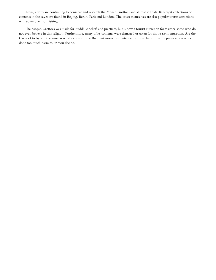Now, efforts are continuing to conserve and research the Mogao Grottoes and all that it holds. Its largest collections of contents in the caves are found in Beijing, Berlin, Paris and London. The caves themselves are also popular tourist attractions with some open for visiting.

 The Mogao Grottoes was made for Buddhist beliefs and practices, but is now a tourist attraction for visitors, some who do not even believe in this religion. Furthermore, many of its contents were damaged or taken for showcase in museums. Are the Caves of today still the same as what its creator, the Buddhist monk, had intended for it to be, or has the preservation work done too much harm to it? You decide.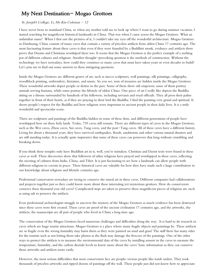# My Next Destination- Mogao Grottoes

### St. Joseph's College, Li, Ho Kiu Coleman - 12

I have never been to mainland China, so when my mother told me to look up where I want to go during summer vacation, I started searching for magnificent historical landmarks in China. That was when I came across the Mogao Grottoes. What an unfamiliar name! When I first saw the pictures of it, I couldn't take my eyes off the wonderful architecture. Mogao Grottoes in Dunhuang, China consists of many caves that contain a variety of priceless artifacts from olden China 17 centuries ago. The most fascinating feature about these caves is that even if they were founded by a Buddhist monk, evidence and artifacts there prove that Daoists and Christians worshiped there too. It seems that the Mogao Grottoes is the perfect example of a melting pot of different cultures and religions. Another thought-provoking question is the methods of construction. Without the technology we have nowadays, how could they construct so many caves that must have taken years or even decades to build? Let's join me to find out some answers to these intriguing questions.

Inside the Mogao Grottoes are different genres of art, such as stucco sculptures, wall paintings, silk paintings, calligraphy, woodblock printing, embroidery, literature, and music. So you see, tons of treasures are hidden inside the Mogao Grottoes. These wonderful artworks depict people or deities in the past. Some of them show old emperors; some of them portray animals serving humans, while some portray the lifestyle of olden China. One piece of art I really like depicts the Buddha sitting on a throne surrounded by hundreds of his followers, including servants and royal officials. They all press their palms together in front of their hearts, as if they are praying to their lord the Buddha. I find the painting very grand and spiritual. It shows people's respect for the Buddha and how religions were important to ancient people in their daily lives. It is a truly wonderful and spectacular scene.

There are sculptures and paintings of the Buddha hidden in some of these dens, and different generations of people have worshipped here on these holy lands. Today, 735 caves still remain. There are different types of caves in the Mogao Grottoes, such as the Wei caves, Zhou caves, Sui caves, Tang caves, and the post-Tang caves. All of these caves have a different history. Living for about a thousand years, they have survived earthquakes, floods, sandstorms and other various natural disasters and are still standing today. It is actually quite impressive that some of these caves can persevere that long without crumbling and breaking down.

If you think these temples only have Buddhist art in it, well, you're mistaken. Christian and Daoist texts were found in these caves as well. These discoveries show that followers of other religions have prayed and worshipped in these caves, reflecting the meeting of cultures from India, China, and Tibet. It is just fascinating to see how a landmark can allow people with different religions to coexist in peace. These historical caves are valuable for how they have made such a huge contribution to our knowledge about religions and lifestyle centuries ago.

Professional conservators nowadays are trying to conserve the mural art in these caves. Different companies had collaborations and projects together just so they could know more about these interesting yet mysterious grottoes. How do conservators conserve these thousand year old caves? Complicated steps are taken to preserve these magnificent pieces of religious art, such as using salt to preserve the artifacts.

Even professional archaeologists struggle to uncover the mystery of the Mogao Grottoes as much evidence has been destroyed since these caves were first created. These caves are proof of the ancient civilisation 17 centuries ago, and the artworks, the artifacts, the manuscripts are all part of people who lived in China a long time ago.

The conservation of the Mogao Grottoes faced numerous challenges and difficulties along the way. It is hard to do research in caves which are huge tourist attractions. Mogao Grottoes is a place where many fragile objects and paintings lie. These artifacts are so fragile even the wrong humidity may harm them as they were painted on mud and grass! The staff there has many rules for the tourists such as not letting them take photos as the flash may damage the frescoes of the paintings. One of the other ways to protect the artifacts is to measure the environmental data of the caves by installing sensors in the caves to measure the temperature, humidity, and the carbon dioxide levels to know more about the caves' basic information so they can conserve those artworks and artifacts more easily.

However, the most serious difficulties that most conservators face are people–vicious people like tomb raiders. They took thousands of priceless artworks and ripped dozens of paintings off the wall. These people just did not know how to appreciate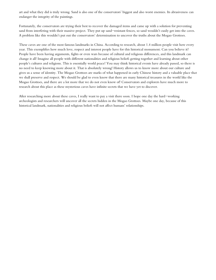art and what they did is truly wrong. Sand is also one of the conservators' biggest and also worst enemies. Its abrasiveness can endanger the integrity of the paintings.

Fortunately, the conservators are trying their best to recover the damaged items and came up with a solution for preventing sand from interfering with their massive project. They put up sand-resistant fences, so sand wouldn't easily get into the caves. A problem like this wouldn't put out the conservators' determination to uncover the truths about the Mogao Grottoes.

These caves are one of the most famous landmarks in China. According to research, about 1.4 million people visit here every year. This exemplifies how much love, respect and interest people have for this historical monument. Can you believe it? People have been having arguments, fights or even wars because of cultural and religious differences, and this landmark can change it all! Imagine all people with different nationalities and religious beliefs getting together and learning about other people's cultures and religions. This is essentially world peace! You may think historical events have already passed, so there is no need to keep knowing more about it. That is absolutely wrong! History allows us to know more about our culture and gives us a sense of identity. The Mogao Grottoes are marks of what happened in early Chinese history and a valuable place that we shall preserve and respect. We should be glad to even know that there are many historical treasures in the world like the Mogao Grottoes, and there are a lot more that we do not even know of! Conservators and explorers have much more to research about this place as these mysterious caves have infinite secrets that we have yet to discover.

After researching more about these caves, I really want to pay a visit there soon. I hope one day the hard-working archeologists and researchers will uncover all the secrets hidden in the Mogao Grottoes. Maybe one day, because of this historical landmark, nationalities and religious beliefs will not affect humans' relationships.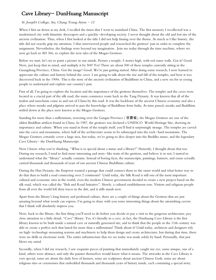# Cave Library- DunHuang Manuscript

### St. Joseph's College, Siu, Chung Yeung Aston  $-12$

When I first sat down at my desk, I recalled the times that I went to mainland China. The first memory I recollected was a modernized city with futuristic skyscrapers and a quickly-developing society. I never thought about the old and lost site of the ancient civilization. Thus, when I first looked at the title I did not help fussing over the theme. As much as I like history, the title did not exactly grip my attention. I thus interviewed people and researched the grottoes' past in order to complete the assignment. Nevertheless, the findings were beyond my imagination. Join me today through the time machine, where we now go back to AD 366, to explore the new tales of the Mogao Grottoes.

Before we start, let's try to paint a picture in our minds. Picture a temple, 5 stories high, with red outer walls. Got it? Good. Now, just keep that in mind, and multiply it by 500! Yes! There are about 500 of these temples currently sitting in the Guangdong Province, China. Got the image? Good. We're just getting started. After doing some research, I now learned to appreciate the culture and history behind the caves. I am going to talk about the rise and fall of the temples, and how it was discovered back in the 1900s. This is the story of the ancient civilization of Buddhism in China, and a new era for us young people to understand and explore our country's past.

First of all, I'm going to explore the location and the importance of the grottoes themselves. The temples and the caves were located in a crucial part of the silk road, the main commerce route back in the Tang Dynasty. It was known that all of the traders and merchants come in and out of China by this road. It was the backbone of the ancient Chinese economy and also a place where monks and pilgrims arrived to pass the knowledge of Buddhism from India. As time passed, monks and Buddhists settled down at the place now known as the Mogao Grottoes.

Standing for more than a millennium, towering over the Gangsu Province ( 甘肅省), the Mogao Grottoes are one of the oldest Buddhist artifacts found in China. In 1987, the grottoes was declared a UNESCO World Heritage Site, showing its importance and culture. When you stand in front of the temple itself, you'll find it surprisingly strange. The temples are carved into the caves and mountains, where half of the architecture seems to be submerged into the rock-hard mountains. The Mogao Grottoes certainly cover a large area, but today, we're going to dive deeper into the Buddha statue, and the legendary Cave Library- the DunHuang Manuscript.

Now I know what you're thinking. "What is so special about a statue and a library?" Honestly, I thought about that too. During my research, I tend to find more interesting and story-like traits of the grottoes, and believe it or not, I started to understand what the "library" actually contains. Instead of boring facts, the manuscripts, paintings, banners, and essays actually carried thousands and thousands of years of our ancient Chinese Buddhism culture.

During the Han Dynasty, the Emperor wanted a passage that could connect them to the outer world and what better way to do that than to build a road connecting over 2 continents? Until today, the Silk Road is still one of the most important cultural and economic sites in the world, even the modern Chinese government decided to create a new project based on the silk road, which was called the "Belt and Road Initiative". Slowly, a cultural establishment rose. Visitors and religious people from all over the world left their traces in the dirt, and it stills stands now.

Apart from the library's long history and profound culture, there are a couple of things about the Grottoes that are just amazing beyond what words can express. I'm going to share with you some interesting things about the astonishing cavern that I think will absolutely impress you.

Now, back to the library, the first thing you'll need to do before you decide to pay a visit to the gorgeous architecture, pay close attention to a little detail. "Cave" library. Yes, it's literally in a cave, in fact, the Dunhuang Cave Library is the first library known to be built inside a natural cave or naturally generated site, and to think that the people in the 11th century was able to create a perfect arch that lasted for more than a millennium! Think about it! Until today, architects and designers rely on high-technology measuring systems and machinery to help them design and create architecture, but during that time, there were no drills or electronic tools. The entire infrastructure that we see today was made solely by hand. Personally, that just blows my mind.

Secondly, when I did my research, I saw exquisite pieces of painting that immediately caught my eye, some unique, one of a kind, others were abstract, and only the painter themselves would know what it means. The artworks in the Cave Library is very special, some are about the daily lives of farmers, some are sculptures about ancient Chinese Gods, some are about religious rites or ceremonies that embedded thousands and thousands years of history inside, each containing a special story.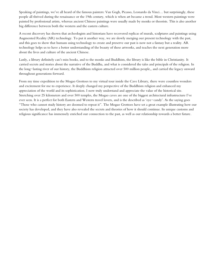Speaking of paintings, we've all heard of the famous painters: Van Gogh, Picasso, Leonardo da Vinci… but surprisingly, these people all thrived during the renaissance or the 19th century, which is when art became a trend. Most western paintings were painted by professional artists, whereas ancient Chinese paintings were usually made by monks or theorists. This is also another big difference between both the western and the eastern culture.

A recent discovery has shown that archeologists and historians have recovered replicas of murals, sculptures and paintings using Augmented Reality (AR) technology. To put it another way, we are slowly merging our present technology with the past, and this goes to show that humans using technology to create and preserve our past is now not a fantasy but a reality. AR technology helps us to have a better understanding of the beauty of these artworks, and teaches the next generation more about the lives and culture of the ancient Chinese.

Lastly, a library definitely can't miss books, and to the monks and Buddhists, the library is like the bible in Christianity. It carried secrets and stories about the narrative of the Buddha, and what is considered the tales and principals of the religion. In the long-lasting river of our history, the Buddhism religion attracted over 500 million people,, and carried the legacy onward throughout generations forward.

From my time expedition to the Mogao Grottoes to my virtual tour inside the Cave Library, there were countless wonders and excitement for me to experience. It deeply changed my perspective of the Buddhism religion and enhanced my appreciation of the world and its sophistication. I now truly understand and appreciate the value of the historical site. Stretching over 25 kilometers and over 500 temples, the Mogao caves are one of the biggest architectural infrastructure I've ever seen. It is a perfect for both Eastern and Western travel lovers, and is the described as 'eye-candy'. As the saying goes "Those who cannot study history are doomed to repeat it". The Mogao Grottoes have set a great example illustrating how our society has developed, and they have also revealed the secrets and theories of how it should continue. Its unique customs and religious significance has immensely enriched our connection to the past, as well as our relationship towards a better future.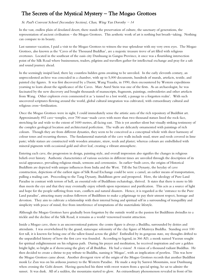# The Secrets of the Mystical Mystery – The Mogao Grottoes

### St. Paul's Convent School (Secondary Section), Chan, Wing Yan Dorothy - 14

In the vast, endless plain of desolated desert, there stands the preservation of culture, the sanctuary of generations, the representation of ancient civilisation – the Mogao Grottoes. This aesthetic work of art is nothing but breath-taking. Nothing can compare to its beauty.

Last summer vacation, I paid a visit to the Mogao Grottoes to witness the true splendour with my very own eyes. The Mogao Grottoes, also known as the 'Caves of the Thousand Buddhas', are a majestic treasure trove of art filled with religious overtones. Located in the southeast of the oasis city Dunhuang in Gangsu Province, it once was a flourishing intersection point of the Silk Road where businessmen, traders, pilgrims and travellers gather for intellectual exchange and pray for a safe and sound journey ahead.

In the seemingly insipid land, there lay countless hidden gems awaiting to be unveiled. In the early eleventh century, an unprecedented archive was concealed in a chamber, with up to 5,000 documents, hundreds of murals, artefacts, textile, and painted clay figures. It was first discovered by a Daoist, Wang Yuanlu, in 1990, then encountered by Western expeditions yearning to learn about the significance of the Caves. Marc Aurel Stein was one of the firsts. As an archaeologist, he was fascinated by the new discovery and bought thousands of manuscripts, fragments, paintings, embroideries and other artefacts from Wang. Other explorers even commented it as 'a tunnel to a lost world, a passage to a forgotten realm'. With such uncovered scriptures flowing around the world, global cultural integration was cultivated, with extraordinary cultural and religious cross-fertilization.

Once the Mogao Grottoes were in sight, I could immediately sense the artistic aura of the rich repository of Buddhist art. Approximately 492 cave-temples, over 700 man-made caves with more than two thousand statues lined the rock face, stretching far and wide to the extent of 1600 metres, all facing east. This is yet another silent but visually striking testimony of the complex geological location and architectural perfection. The walls are delicately ornamented with paintings of rich colours. Though they are from different dynasties, they seem to be conceived as a conceptual whole with sheer harmony of colour tones and recurring themes. The fundamental materials of the cave walls include mud, straw and reeds covered in lime paste; while statues are constructed with wooden armature, straw, reeds and plaster; whereas colours are embellished with mineral pigments with occasional gold and silver leaf, creating a vibrant atmosphere.

Entering each cave, the progression in design, painting style, and overall impression also signifies the changes in religious beliefs over history. Authentic characteristics of various societies in different times are unveiled through the description of its social appearance, prevailing religious rituals, sermons and ceremonies. In earlier-built caves, the origins of Historical Buddhists are depicted with unique influences from India and the West. Till the Sui Dynasty, the heyday of cave construction, depictions of the earliest signs of Silk Road Exchange could be seen: a camel, an earlier means of transportation, pulling a trading cart. Proceeding to the Tang Dynasty, Buddhism grew and prospered. Here, the ideology of Pure Land Paradise in contrast with terrors of hell, an essential role of Buddhism eschatology, thrived. It states that there is more to life than meets the eye and that they may eventually enjoy rebirth upon repentance and purification. This acts as a source of light and hope for the people suffering from wars, conflicts and natural disasters. Hence, it is regarded as the 'entrance to the Pure Land paradise', attracting many zealous followers of Buddhism to make a pilgrimage to pay their utmost respect, homage and devotion. They aim to cultivate a relationship with their internal being and spiritual self in a surrounding of tranquillity and simplicity with peace of mind, free from interference of temptations of the materialistic lifestyle.

Although the Mogao Grottoes have gradually been forgotten by the outside world as the passion for Buddhism dwindles to a trickle and the decline of the Silk Road, it remains as a world-renowned tourist attraction.

Inside a Mogao cave, there is an unconventional pattern: the centre figure is always a Buddha, surrounded by deities and attendants. I was overwhelmed by the grand, statuesque solemnity of the clay figure of Maitreya Buddha. Standing over 100 feet tall, it is known for being one of the tallest found across the globe! Enthralled by its gorgeous state, my thoughts drifted to the unparalleled history of how the first cave was founded. According to legend, in 366 AD, a monk named Yuezun sought for spiritual enlightenment on his religious path. During his prayer and meditation, he received inspiration and saw a golden bright light, so bright as if showcasing the glory of all Buddhas. He had a vision! A vision of a thousand radiant Buddhas. He then decided to create a shrine to pay tribute to Buddha, naming it 'Mogao', with an implication of peerless. This was how the Mogao Grottoes came about. Another divergent view of the origin of the Mogao Grottoes records that another Buddhist monk Le Zun was on his arduous journey to the Western Paradise. He made a stop by Sanwei Mountains, near Dunhuang when crossing the Gobi dessert. Having quenched his thirst with sweet waters from a special spring, he sat to admire the sunset. It was dusk. All of a sudden, the mountains started to glow. An extraordinary phenomenon revealed in front of his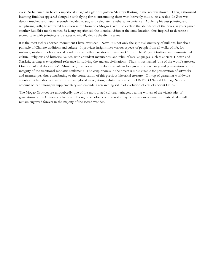eyes! As he raised his head, a superficial image of a glorious golden Maitreya floating in the sky was shown. Then, a thousand beaming Buddhas appeared alongside with flying fairies surrounding them with heavenly music. As a zealot, Le Zun was deeply touched and instantaneously decided to stay and celebrate his ethereal experience. Applying his past painting and sculpturing skills, he recreated his vision in the form of a Mogao Cave. To explain the abundance of the caves, as years passed, another Buddhist monk named Fa Liang experienced the identical vision at the same location, thus inspired to decorate a second cave with paintings and statues to visually depict the divine scene.

It is the most richly adorned monument I have ever seen! Now, it is not only the spiritual sanctuary of millions, but also a pinnacle of Chinese traditions and culture. It provides insights into various aspects of people from all walks of life, for instance, medieval politics, social conditions and ethnic relations in western China. The Mogao Grottoes are of unmatched cultural, religious and historical values, with abundant manuscripts and relics of rare languages, such as ancient Tibetan and Sanskrit, serving as exceptional reference in studying the ancient civilisations. Thus, it was named 'one of the world's greatest Oriental cultural discoveries'. Moreover, it serves as an irreplaceable role in foreign artistic exchange and preservation of the integrity of the traditional monastic settlement. The crisp dryness in the desert is most suitable for preservation of artworks and manuscripts, thus contributing to the conservation of this precious historical treasure. On top of garnering worldwide attention, it has also received national and global recognition, enlisted as one of the UNESCO World Heritage Site on account of its humongous supplementary and emending researching value of evolution of eras of ancient China.

The Mogao Grottoes are undoubtedly one of the most prized cultural heritages, bearing witness of the vicissitudes of generations of the Chinese civilisation. Though the colours on the walls may fade away over time, its mystical tales will remain engraved forever in the majesty of the sacred wonder.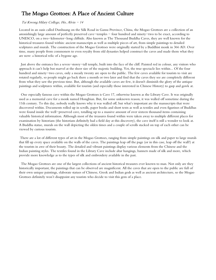# The Mogao Grottoes: A Place of Ancient Culture

### Tai Kwong Hilary College, Ho, Alvin  $-14$

Located in an oasis called Dunhuang on the Silk Road in Gansu Province, China, the Mogao Grottoes are a collection of an astonishingly large amount of perfectly preserved cave-temples - four hundred and ninety-two to be exact, according to UNESCO, on a two-kilometer-long cliffside. Also known as The Thousand Buddha Caves, they are well known for the historical treasures found within: ancient manuscripts as well as multiple pieces of art, from simple paintings to detailed sculptures and murals. The construction of the Mogao Grottoes were originally started by a Buddhist monk in 366 AD. Over time, many people from commoners to even royalty from old dynasties helped construct the caves and made them what they are now: a historical relic of a bygone age.

 Just above the entrance lies a seven-storey-tall temple, built into the face of the cliff. Painted red in colour, any visitors who approach it can't help but marvel at the sheer size of the majestic building. Yet, the true spectacle lies within... Of the four hundred and ninety-two caves, only a measly twenty are open to the public. The few caves available for tourists to visit are rotated regularly, so people might go back there a month or two later and find that the caves they see are completely different from what they saw the previous time. But, although the available caves are few, it doesn't diminish the glory of the antique paintings and sculptures within, available for tourists (and especially those interested in Chinese History) to gasp and gawk at.

 One especially famous cave within the Mogao Grottoes is Cave 17, otherwise known as the Library Cave. It was originally used as a memorial cave for a monk named Hongbian. But, for some unknown reason, it was walled off sometime during the 11th century. To this day, nobody really knows why it was walled off, but what's important are the manuscripts that were discovered within. Documents rolled up in scrolls, paper books and short texts as well as textiles and even figurines of Buddhas were found inside the well-preserved cave, totalling up to a massive amount of over sixteen thousand items containing valuable historical information. Although most of the treasures found within were taken away to multiple different places for examination by historians (the historians definitely had a field day at this discovery), the cave itself is still a wonder to look at. A Buddha statue, murals on the wall depicting the olden times and a couple of scrolls stacked on top of each other can be viewed by curious tourists.

There are a lot of different types of art in the Mogao Grottoes, ranging from simple paintings on silk and paper to large murals that fill up every space available on the walls of the caves. The paintings leap off the page (or in this case, leap off the wall?) at the tourists in awe of their beauty. The detailed and vibrant paintings display various elements from the Chinese and the Indian painting styles. The textiles found in the Library Cave include altar hangings, banners made of silk and more, which provide more knowledge as to the types of silk and embroidery available in the past.

 The Mogao Grottoes are one of the largest collections of ancient historical treasures ever known to man. Not only are they historically important, the paintings that can be observed are magnificent. All the caves that are open to the public are full of their own unique paintings, elaborate statues of Chinese, Greek and Indian gods as well as ancient architecture, so the Mogao Grottoes definitely won't disappoint any tourists who decide to visit this gem of a place.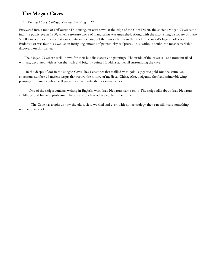# The Mogao Caves

### Tai Kwong Hilary College, Kwong, Sin Ying  $-12$

Excavated into a mile of cliff outside Dunhuang, an oasis town at the edge of the Gobi Desert, the ancient Mogao Caves came into the public eye in 1900, when a treasure trove of manuscripts was unearthed. Along with the astonishing discovery of these 50,000 ancient documents that can significantly change all the history books in the world, the world's largest collection of Buddhist art was found, as well as an intriguing amount of painted clay sculptures. It is, without doubt, the most remarkable discovery on this planet.

 The Mogao Caves are well known for their buddha statues and paintings. The inside of the caves is like a museum filled with art, decorated with art on the walls and brightly painted Buddha statues all surrounding the cave.

 In the deepest floor in the Mogao Caves, lies a chamber that is filled with gold, a gigantic gold Buddha statue, an enormous number of ancient scripts that record the history of medieval China. Also, a gigantic shelf and mind-blowing paintings that are somehow still perfectly intact perfectly, not even a crack.

 One of the scripts contains writing in English, with Isaac Newton's name on it. The script talks about Isaac Newton's childhood and his own problems. There are also a few other people in the script.

 The Cave has taught us how the old society worked and even with no technology they can still make something unique, one of a kind.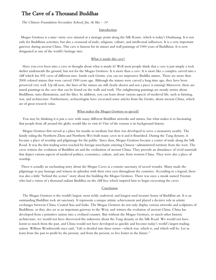### The Cave of a Thousand Buddhas

### The Chinese Foundation Secondary School, Jin, Ai Sha  $-14$

#### Introduction

 Mogao Grottoes is a nine-story cave situated at a strategic point along the Silk Route, which is today's Dunhuang. It is not only for Buddhism activities, but also a crossroad of trade, religious, culture, and intellectual influences. It is a very important gateway during ancient China. This cave is famous for its statues and wall paintings of 1000 years of Buddhism. It is now designated as one of the world's heritage sites.

#### What is inside this cave?

Have you ever been into a cave or thought about what is inside it? Well most people think that a cave is just simply a rock shelter underneath the ground, but not for the Mogao Grottoes. It is more than a cave. It is more like a complex carved into a cliff which has 492 caves of different sizes. Inside each Grotto, you can see impressive Buddha statues. There are more than 2000 colored statues that were carved 1500 years ago. Although the statues were carved a long time ago, they have been preserved very well. Up till now, the lines of the statues are still clearly shown and not a piece is missing! Moreover, there are mural paintings in the cave that can be found on the walls and roofs. The enlightening paintings are mostly stories about Buddhism, sutra illustrations, and the likes. In addition, you can learn about various aspects of medieval life, such as farming, war, and architecture. Furthermore, archaeologists have excavated some articles from the Grotto, about ancient China, which are of great research value.

### What makes the Mogao Grottoes so special?

You may be thinking it is just a cave with many different Buddhist artworks and statues, but what makes it so fascinating that people from all around the globe would like to visit it? One of the reasons is its background history.

Mogao Grottoes first served as a place for monks to meditate but then was developed to serve a monastery nearby. The family ruling the Northern Zhou and Northern Wei built many caves in it and it flourished. During the Tang dynasty, it became a place of worship and pilgrimage for the public. Since then, Mogao Grottoes became a center of trade along the Silk Road. It was the first trading town reached by foreign merchants entering Chinese-administered territory from the west. The caves witness the evolution of Buddhist art and the civilization of ancient China. They provide an abundance of vivid materials that depict various aspects of medieval politics, economics, culture, and arts, from western China. They were also a place of worship.

 There is actually an enchanting story about the Mogao Caves as a remote sanctuary of sacred wonder. Many made the pilgrimage to pay homage and witness its splendor with their own eyes throughout the centuries. According to a legend, there was also a little "behind the scenes" story about the building the Mogao Grottoes. There was once a monk named Yuezun who had a vision of a thousand radiant Buddhas on the cliff face which inspired him to begin excavating the caves.

#### **Conclusion**

The Mogao Grottoes is the world's largest, most richly endowed, and longest used treasure house of Buddhist art. It is an outstanding Buddhist rock art sanctuary. It represents a unique artistic achievement and played a decisive role in artistic exchanges between China, Central Asia and India. The Mogao Grottoes do not only display various artworks and sculptures of Buddhism, or they also act as an important gateway to the West, and witness the evolution of ancient China. China has developed from a primitive nation into a civilized country. But without the Mogao Grottoes, or much other historic architecture, we would not have discovered the unknown about the Tang dynasty or the Silk Road. We would not have learnt so much from the past, and China would not have developed so quickly and become today's world's largest trading nation. William Wordsworth once said, "Life is divided into three terms—which was, which is, and which will be. Let us learn from the past to profit by the present, and from the present, to live better in the future."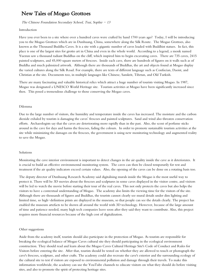### New Tales of Mogao Grottoes

The Chinese Foundation Secondary School, Tsui, Sophie  $-13$ 

#### Introduction

Have you ever been to a site where over a hundred caves were crafted by hand 1700 years ago? Today, I will be introducing you to the Mogao Grottoes which are in Dunhuang, China, somewhere along the Silk Route. The Mogao Grottoes, also known as the Thousand Buddha Caves. It is a site with a gigantic number of caves loaded with Buddhist statues. In fact, this place is one of the largest sites for grotto art in China and even in the whole world. According to a legend, a monk named Yuezun saw a thousand radiant Buddhas on the cliff, which inspired him to begin excavating caves. There are 735 caves, 2415 painted sculptures, and 45,000 square meters of frescoes. Inside each cave, there are hundreds of figures on it walls such as of Buddha and much palmsized artwork. Although there are thousands of Buddhas, the art and objects found at Mogao display the varied cultures along the Silk Road. For example, there are texts of different language such as Confucian, Daoist, and Christian at the site. Documents too, in multiple languages like Chinese, Sanskrit, Tibetan, and Old Turkish.

There are many fascinating and valuable historical relics which attract a huge number of tourists visiting Mogao. In 1987, Mogao was designated a UNESCO World Heritage site. Tourism activities at Mogao have been significantly increased since then. This posed a tremendous challenge to those conserving the Mogao caves.

### Dilemma

Due to the large number of visitors, the humidity and temperature inside the caves has increased. The moisture and the carbon dioxide exhaled by tourists is damaging the caves' frescoes and painted sculptures. Sand and wind also threaten conservation efforts. Archaeologists say that the caves are deteriorating more rapidly than in the past. Also, the scent of perfume sticks around in the cave for days and harms the frescoes, fading the colours. In order to promote sustainable tourism activities at the site while minimizing the damages on the frescoes, the government is using new monitoring technology and augmented reality to save the Mogao.

#### Solutions

Monitoring the cave interior environment is important to detect changes in the air quality inside the cave as it deteriorates. It is crucial to build an effective environmental monitoring system. The caves can then be closed temporarily for rest and treatment if the air quality indicators exceed certain values. Also, the opening of the caves can be done on a rotating basis too.

The deputy director of Dunhuang Research Academy said digitalising murals inside the Mogao is the most useful way to protect it. There will be 3D movies about the frescoes and sculptures in some caves displayed in the visitor centre, and visitors will be led to watch the movie before starting their tour of the real caves. This not only protects the caves but also helps the visitors to have a contextual understanding of Mogao. The academy also limits the viewing time for the visitors of the site. Although there are thousands of figures and Buddhas, the tourists cannot clearly see mural details under dim lighting and limited time, so high-definition prints are displayed in the museum, so that people can see the details clearly. The project has enabled the museum artefacts to be shown all around the world with 3D technology. However, because of the large amount of time and patience needed, many high tech companies leave soon after they said they want to contribute. Also, this project requires more financial resources because of the high cost of digitalization.

#### Other suggestions

Aside from the academy itself, tourists should also participate in the protection of Mogao. As tourists are responsible for breaking the ecological balance of Mogao Caves cultural site they should participating in the ecological environment construction. They should read and learn about the Mogao Caves Cultural Heritage Site's Code of Conduct and Rules for Visitors before entering the site. After that, tourists should be tested on whether they are allowed to touch or photograph the cave's frescoes, sculpture, and other crafts. The academy could also recreate the cave's exterior and the surrounding ecology of the cultural site to test if visitors are exposed to environmental pollution and damage through their travels. To make this information worldwide, the academy can use the YouTube channels to educate visitors on what they should do before visiting sites, and also to promote the spirit of protecting heritage sites.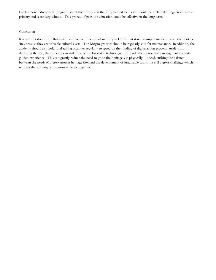Furthermore, educational programs about the history and the story behind each cave should be included in regular courses at primary and secondary schools. This process of patriotic education could be effective in the long term.

#### Conclusion

It is without doubt true that sustainable tourism is a crucial industry in China, but it is also important to preserve the heritage sites because they are valuable cultural assets. The Mogao grottoes should be regularly shut for maintenance. In addition, the academy should also hold fund raising activities regularly to speed up the funding of digitalization process. Aside from digitizing the site, the academy can make use of the latest AR technology to provide the visitors with an augmented reality guided experience. This can greatly reduce the need to go to the heritage site physically. Indeed, striking the balance between the needs of preservation at heritage sites and the development of sustainable tourism is still a great challenge which requires the academy and tourists to work together.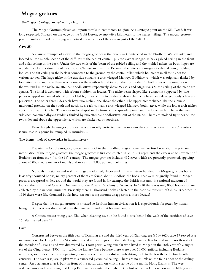### Mogao grottoes

### Wellington College, Shanghai, Yi, Ding  $-12$

The Mogao Grottoes played an important role in commerce, religion. As a strategic point on the Silk Road, it was long respected. Situated on the edge of the Gobi Desert, twenty-five kilometers to the nearest village. The mogao grottoes position makes it hard to imaging as a critical nerve center of the eastern part of the Silk Road.

### Cave 254

A classical example of a cave in the mogao grottoes is the cave 254 Constructed in the Northern Wei dynasty, and located on the middle section of the cliff, this is the earliest central-pillared [cave](https://search.e-dunhuang.com/search.htm?q=cave&page=1&type=1) at Mogao. It has a gabled ceiling in the front and a flat ceiling in the back. Under the two ends of the beam of the gabled ceiling and the molded rafters on both slopes are wooden brackets, a structure of Traditional Chinese architecture. Between the rafters are images of celestial beings holding lotuses.The flat ceiling in the back is connected to the ground by the central pillar, which has niches in all four sides for various statues. The large niche in the east side contains a cross-legged Maitreya Bodhisattva, which was originally flanked by four attendants, and now there is only one on the south side and two on the north side. On both sides of the nimbus on the [west wall](https://search.e-dunhuang.com/search.htm?q=west%20wall&page=1&type=1) in the niche are attendant bodhisattvas respectively above Vasistha and Mrgasirsa. On the ceiling of the niche are apsaras. The lintel is decorated with reborn children on lotuses. The niche beam shaped like a dragon is supported by two pillars wrapped in painted silk. Most molded figurines on the two sides or above the niche have been damaged, only a few are preserved. The other three sides each have two niches, one above the other. The upper niches shaped like the Chinese traditional gateway on the south and north sides each contain a cross-legged Maitreya bodhisattva, while the lower arch niches contain a dhyana Buddha. The upper niche shaped in the form of two spreading trees and the lower arch niche in the west side each contain a dhyana Buddha flanked by two attendant bodhisattvas out of the niche. There are molded figurines on the two sides and above the upper niche, which are blackened by sootiness.

Even though the mogao grottoes caves are mostly protected well in modern days but discovered I the  $20<sup>th</sup>$  century it is sure that it is gonna be trampled by intruders…

### The biggest theft of knowledge in human history

Dispute the fact the mogao grottoes are crucial to the Buddhist religion, one need to first know that the primary information of the mogao grottoes: the mogao grottoes is first constructed in 366AD it represents the excessive achievement of Buddhist art from the 4<sup>th</sup> to the 14<sup>th</sup> century. The mogao grottoes includes 492 caves which are presently preserved, applying about 45,000 square meters of murals and more than 2,000 painted sculptures.

Not only the statues and wall paintings are idolized, discovered in the nineteen hundred the Mogao grottoes has at least fifty thousand books, ninety percent of them are found about Buddhist. the books that were originally found in Mogao grottoes are spread widely around the world they are found in for example the British museum, the national museum of France, the Institute of Oriental Documents of the Russian Academy of Sciences. In 1910 there was only 8000 books that are collected by the national museum. Presently there 16 thousand books collected in the national museum of China. Recorded in 1910 there were fifty thousand books how can such a big amount disappear in a short decade?

Despite that the mogao grottoes is situated so far from human civilization it is expeditiously forgotten by human being,, but after it was discovered after the nineteen hundred, it became famous…

A Chinese master wang yuan Zhu when cleaning cave 16 he found a cave behind the walls of the corridors of cave 16 (after named cave 17)

### Cave 17

Constructed between the fifth year of Dazhong era and the third year of Xiantong era (851-862), cave 17 served as a memorial [cave](https://search.e-dunhuang.com/search.htm?q=cave&page=1&type=1) for Hong Bian, a Monastic Official in Hexi region in the Late Tang dynasty. It is located in [the north wall](https://search.e-dunhuang.com/search.htm?q=the%20north%20wall&page=1&type=1) of the corridor of Cave 16 and was discovered by Taoist priest Wang Yuanlu who lived at Mogao in the 26th year of Guangxu era of the Qing dynsty (1900). It is called the Library Cave because there were over 50,000 artifacts including Buddhist scriptures, social documents, silk paintings, embroideries, and Buddist utensils dating back to the fourth to the fourteenth centuries. The [cave](https://search.e-dunhuang.com/search.htm?q=cave&page=1&type=1) is square in plan with a truncated pyramidal ceiling. There are no murals on the four slopes or the ceiling center. An octangular altar is built in front of [the north wall,](https://search.e-dunhuang.com/search.htm?q=the%20north%20wall&page=1&type=1) on which a statue of the monk, Hong Bian sits. The [west](https://search.e-dunhuang.com/search.htm?q=west%20wall&page=1&type=1)  [wall](https://search.e-dunhuang.com/search.htm?q=west%20wall&page=1&type=1) contains a stele recording that Hong Bian was appointed the highest Buddhist official in Hexi region in the fifth year of